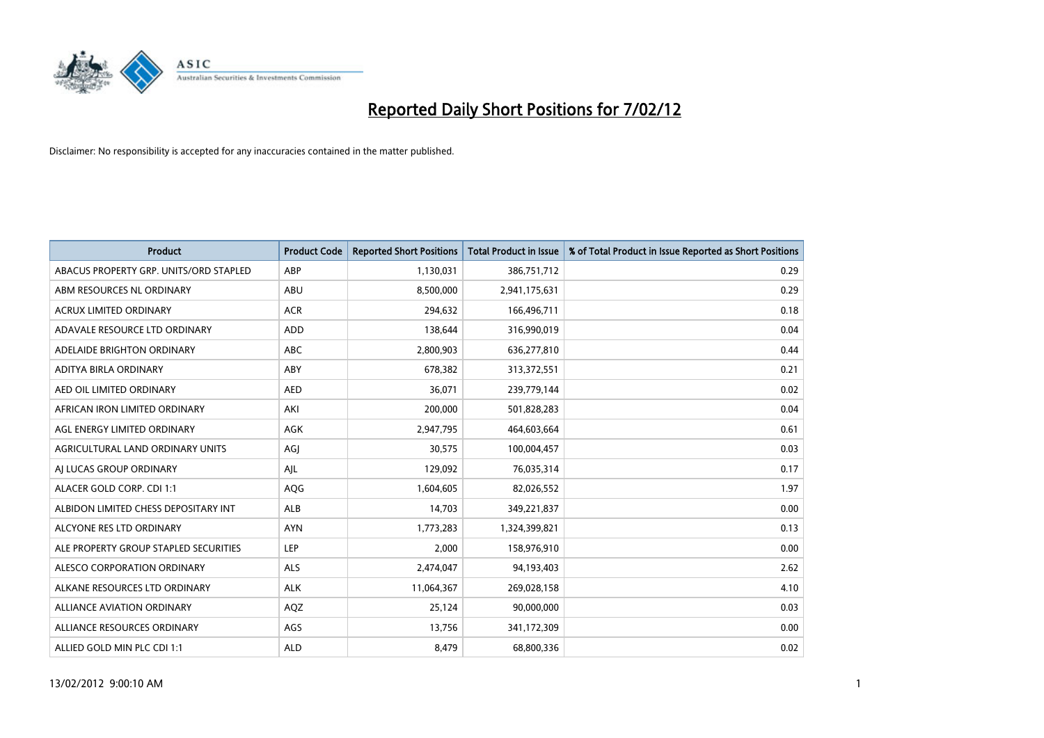

| <b>Product</b>                         | <b>Product Code</b> | <b>Reported Short Positions</b> | <b>Total Product in Issue</b> | % of Total Product in Issue Reported as Short Positions |
|----------------------------------------|---------------------|---------------------------------|-------------------------------|---------------------------------------------------------|
| ABACUS PROPERTY GRP. UNITS/ORD STAPLED | ABP                 | 1,130,031                       | 386,751,712                   | 0.29                                                    |
| ABM RESOURCES NL ORDINARY              | ABU                 | 8,500,000                       | 2,941,175,631                 | 0.29                                                    |
| <b>ACRUX LIMITED ORDINARY</b>          | <b>ACR</b>          | 294,632                         | 166,496,711                   | 0.18                                                    |
| ADAVALE RESOURCE LTD ORDINARY          | <b>ADD</b>          | 138,644                         | 316,990,019                   | 0.04                                                    |
| ADELAIDE BRIGHTON ORDINARY             | <b>ABC</b>          | 2,800,903                       | 636,277,810                   | 0.44                                                    |
| ADITYA BIRLA ORDINARY                  | ABY                 | 678,382                         | 313,372,551                   | 0.21                                                    |
| AED OIL LIMITED ORDINARY               | <b>AED</b>          | 36,071                          | 239,779,144                   | 0.02                                                    |
| AFRICAN IRON LIMITED ORDINARY          | AKI                 | 200,000                         | 501,828,283                   | 0.04                                                    |
| AGL ENERGY LIMITED ORDINARY            | <b>AGK</b>          | 2,947,795                       | 464,603,664                   | 0.61                                                    |
| AGRICULTURAL LAND ORDINARY UNITS       | AGJ                 | 30,575                          | 100,004,457                   | 0.03                                                    |
| AI LUCAS GROUP ORDINARY                | AJL                 | 129,092                         | 76,035,314                    | 0.17                                                    |
| ALACER GOLD CORP. CDI 1:1              | AQG                 | 1,604,605                       | 82,026,552                    | 1.97                                                    |
| ALBIDON LIMITED CHESS DEPOSITARY INT   | <b>ALB</b>          | 14,703                          | 349,221,837                   | 0.00                                                    |
| ALCYONE RES LTD ORDINARY               | <b>AYN</b>          | 1,773,283                       | 1,324,399,821                 | 0.13                                                    |
| ALE PROPERTY GROUP STAPLED SECURITIES  | <b>LEP</b>          | 2,000                           | 158,976,910                   | 0.00                                                    |
| ALESCO CORPORATION ORDINARY            | <b>ALS</b>          | 2,474,047                       | 94,193,403                    | 2.62                                                    |
| ALKANE RESOURCES LTD ORDINARY          | <b>ALK</b>          | 11,064,367                      | 269,028,158                   | 4.10                                                    |
| ALLIANCE AVIATION ORDINARY             | AQZ                 | 25,124                          | 90,000,000                    | 0.03                                                    |
| ALLIANCE RESOURCES ORDINARY            | AGS                 | 13,756                          | 341,172,309                   | 0.00                                                    |
| ALLIED GOLD MIN PLC CDI 1:1            | <b>ALD</b>          | 8,479                           | 68,800,336                    | 0.02                                                    |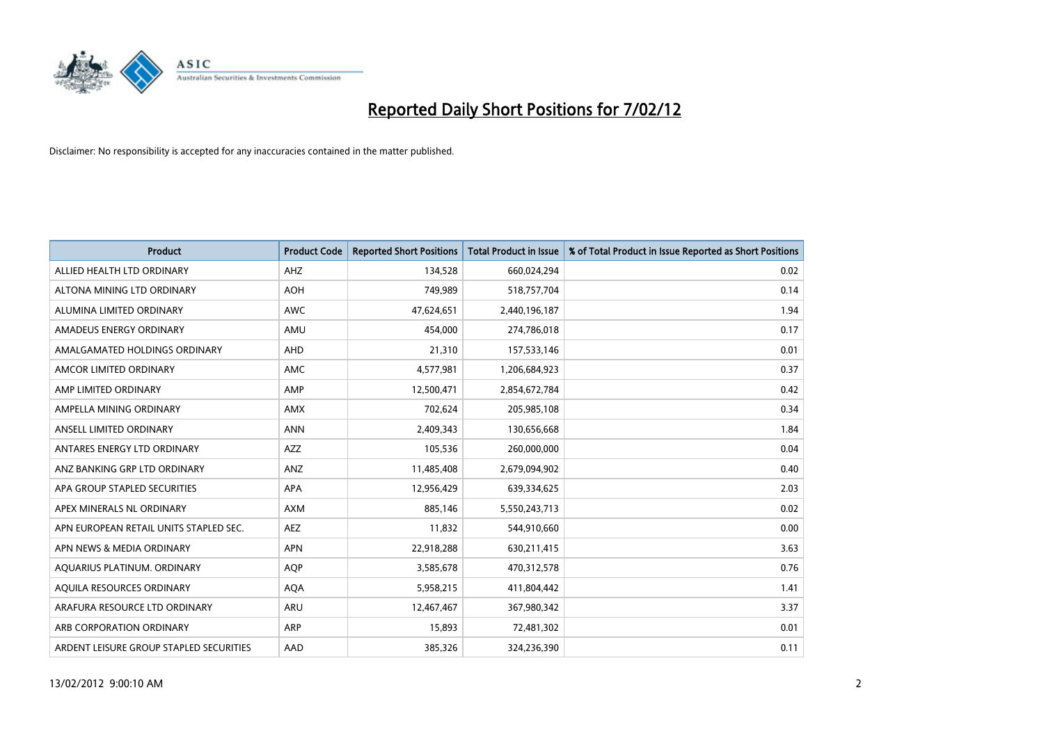

| <b>Product</b>                          | <b>Product Code</b> | <b>Reported Short Positions</b> | <b>Total Product in Issue</b> | % of Total Product in Issue Reported as Short Positions |
|-----------------------------------------|---------------------|---------------------------------|-------------------------------|---------------------------------------------------------|
| ALLIED HEALTH LTD ORDINARY              | AHZ                 | 134,528                         | 660,024,294                   | 0.02                                                    |
| ALTONA MINING LTD ORDINARY              | <b>AOH</b>          | 749,989                         | 518,757,704                   | 0.14                                                    |
| ALUMINA LIMITED ORDINARY                | <b>AWC</b>          | 47,624,651                      | 2,440,196,187                 | 1.94                                                    |
| AMADEUS ENERGY ORDINARY                 | AMU                 | 454,000                         | 274,786,018                   | 0.17                                                    |
| AMALGAMATED HOLDINGS ORDINARY           | AHD                 | 21,310                          | 157,533,146                   | 0.01                                                    |
| AMCOR LIMITED ORDINARY                  | AMC                 | 4,577,981                       | 1,206,684,923                 | 0.37                                                    |
| AMP LIMITED ORDINARY                    | AMP                 | 12,500,471                      | 2,854,672,784                 | 0.42                                                    |
| AMPELLA MINING ORDINARY                 | <b>AMX</b>          | 702,624                         | 205,985,108                   | 0.34                                                    |
| ANSELL LIMITED ORDINARY                 | <b>ANN</b>          | 2,409,343                       | 130,656,668                   | 1.84                                                    |
| ANTARES ENERGY LTD ORDINARY             | AZZ                 | 105,536                         | 260,000,000                   | 0.04                                                    |
| ANZ BANKING GRP LTD ORDINARY            | ANZ                 | 11,485,408                      | 2,679,094,902                 | 0.40                                                    |
| APA GROUP STAPLED SECURITIES            | APA                 | 12,956,429                      | 639,334,625                   | 2.03                                                    |
| APEX MINERALS NL ORDINARY               | <b>AXM</b>          | 885.146                         | 5,550,243,713                 | 0.02                                                    |
| APN EUROPEAN RETAIL UNITS STAPLED SEC.  | <b>AEZ</b>          | 11,832                          | 544,910,660                   | 0.00                                                    |
| APN NEWS & MEDIA ORDINARY               | <b>APN</b>          | 22,918,288                      | 630,211,415                   | 3.63                                                    |
| AQUARIUS PLATINUM. ORDINARY             | <b>AOP</b>          | 3,585,678                       | 470,312,578                   | 0.76                                                    |
| AQUILA RESOURCES ORDINARY               | <b>AQA</b>          | 5,958,215                       | 411,804,442                   | 1.41                                                    |
| ARAFURA RESOURCE LTD ORDINARY           | ARU                 | 12,467,467                      | 367,980,342                   | 3.37                                                    |
| ARB CORPORATION ORDINARY                | ARP                 | 15,893                          | 72,481,302                    | 0.01                                                    |
| ARDENT LEISURE GROUP STAPLED SECURITIES | AAD                 | 385,326                         | 324,236,390                   | 0.11                                                    |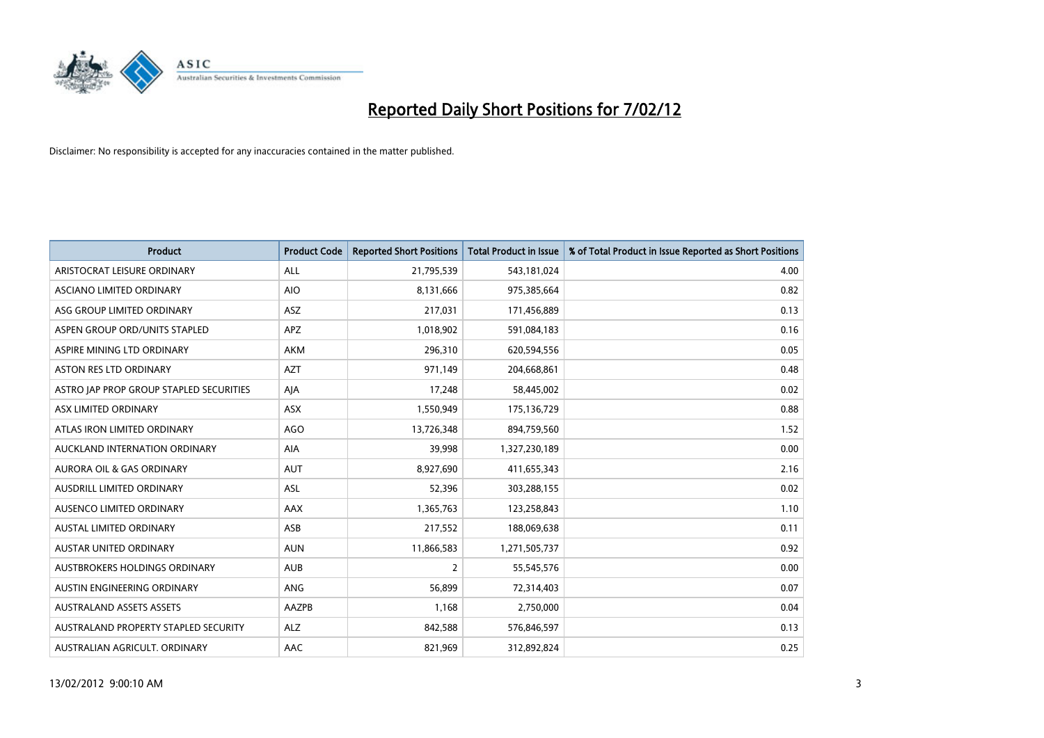

| <b>Product</b>                          | <b>Product Code</b> | <b>Reported Short Positions</b> | <b>Total Product in Issue</b> | % of Total Product in Issue Reported as Short Positions |
|-----------------------------------------|---------------------|---------------------------------|-------------------------------|---------------------------------------------------------|
| ARISTOCRAT LEISURE ORDINARY             | ALL                 | 21,795,539                      | 543,181,024                   | 4.00                                                    |
| ASCIANO LIMITED ORDINARY                | <b>AIO</b>          | 8,131,666                       | 975,385,664                   | 0.82                                                    |
| ASG GROUP LIMITED ORDINARY              | ASZ                 | 217,031                         | 171,456,889                   | 0.13                                                    |
| ASPEN GROUP ORD/UNITS STAPLED           | <b>APZ</b>          | 1,018,902                       | 591,084,183                   | 0.16                                                    |
| ASPIRE MINING LTD ORDINARY              | AKM                 | 296,310                         | 620,594,556                   | 0.05                                                    |
| <b>ASTON RES LTD ORDINARY</b>           | <b>AZT</b>          | 971,149                         | 204,668,861                   | 0.48                                                    |
| ASTRO JAP PROP GROUP STAPLED SECURITIES | AJA                 | 17,248                          | 58,445,002                    | 0.02                                                    |
| ASX LIMITED ORDINARY                    | ASX                 | 1,550,949                       | 175,136,729                   | 0.88                                                    |
| ATLAS IRON LIMITED ORDINARY             | <b>AGO</b>          | 13,726,348                      | 894,759,560                   | 1.52                                                    |
| AUCKLAND INTERNATION ORDINARY           | <b>AIA</b>          | 39,998                          | 1,327,230,189                 | 0.00                                                    |
| AURORA OIL & GAS ORDINARY               | <b>AUT</b>          | 8,927,690                       | 411,655,343                   | 2.16                                                    |
| AUSDRILL LIMITED ORDINARY               | <b>ASL</b>          | 52,396                          | 303,288,155                   | 0.02                                                    |
| AUSENCO LIMITED ORDINARY                | AAX                 | 1,365,763                       | 123,258,843                   | 1.10                                                    |
| <b>AUSTAL LIMITED ORDINARY</b>          | ASB                 | 217,552                         | 188,069,638                   | 0.11                                                    |
| AUSTAR UNITED ORDINARY                  | <b>AUN</b>          | 11,866,583                      | 1,271,505,737                 | 0.92                                                    |
| AUSTBROKERS HOLDINGS ORDINARY           | <b>AUB</b>          | 2                               | 55,545,576                    | 0.00                                                    |
| AUSTIN ENGINEERING ORDINARY             | ANG                 | 56,899                          | 72,314,403                    | 0.07                                                    |
| <b>AUSTRALAND ASSETS ASSETS</b>         | AAZPB               | 1,168                           | 2,750,000                     | 0.04                                                    |
| AUSTRALAND PROPERTY STAPLED SECURITY    | <b>ALZ</b>          | 842,588                         | 576,846,597                   | 0.13                                                    |
| AUSTRALIAN AGRICULT. ORDINARY           | AAC                 | 821,969                         | 312,892,824                   | 0.25                                                    |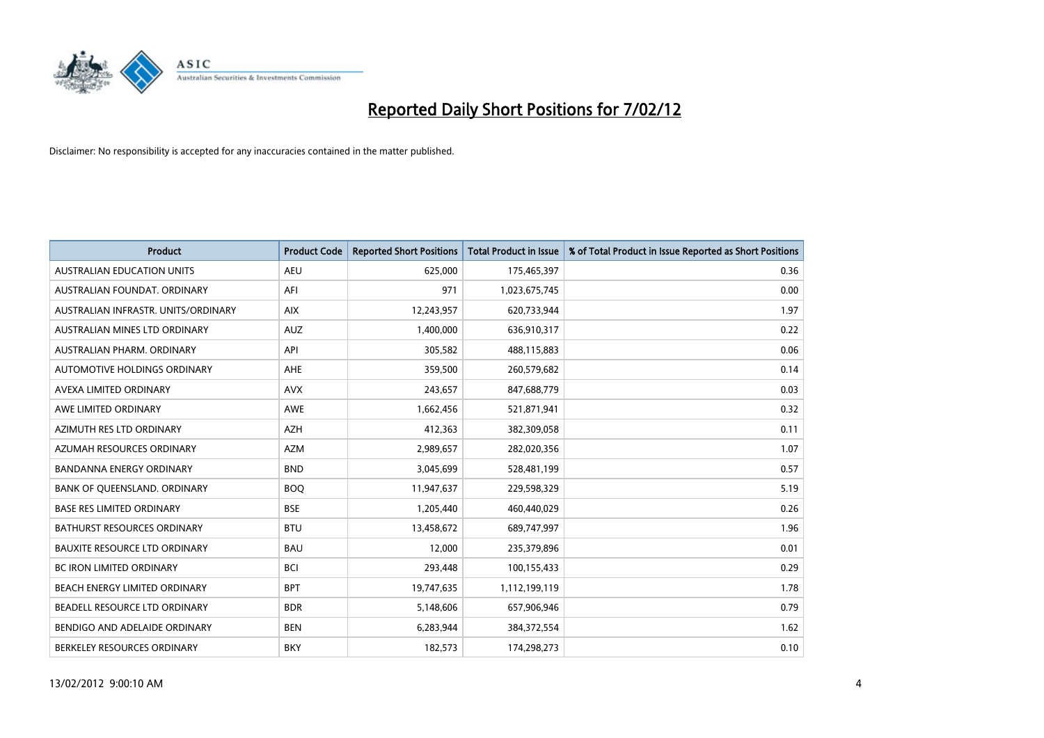

| <b>Product</b>                       | <b>Product Code</b> | <b>Reported Short Positions</b> | <b>Total Product in Issue</b> | % of Total Product in Issue Reported as Short Positions |
|--------------------------------------|---------------------|---------------------------------|-------------------------------|---------------------------------------------------------|
| <b>AUSTRALIAN EDUCATION UNITS</b>    | <b>AEU</b>          | 625,000                         | 175,465,397                   | 0.36                                                    |
| AUSTRALIAN FOUNDAT. ORDINARY         | AFI                 | 971                             | 1,023,675,745                 | 0.00                                                    |
| AUSTRALIAN INFRASTR, UNITS/ORDINARY  | <b>AIX</b>          | 12,243,957                      | 620,733,944                   | 1.97                                                    |
| AUSTRALIAN MINES LTD ORDINARY        | <b>AUZ</b>          | 1,400,000                       | 636,910,317                   | 0.22                                                    |
| AUSTRALIAN PHARM, ORDINARY           | API                 | 305,582                         | 488,115,883                   | 0.06                                                    |
| AUTOMOTIVE HOLDINGS ORDINARY         | <b>AHE</b>          | 359,500                         | 260,579,682                   | 0.14                                                    |
| AVEXA LIMITED ORDINARY               | <b>AVX</b>          | 243,657                         | 847,688,779                   | 0.03                                                    |
| AWE LIMITED ORDINARY                 | AWE                 | 1,662,456                       | 521,871,941                   | 0.32                                                    |
| AZIMUTH RES LTD ORDINARY             | <b>AZH</b>          | 412,363                         | 382,309,058                   | 0.11                                                    |
| AZUMAH RESOURCES ORDINARY            | <b>AZM</b>          | 2,989,657                       | 282,020,356                   | 1.07                                                    |
| BANDANNA ENERGY ORDINARY             | <b>BND</b>          | 3,045,699                       | 528,481,199                   | 0.57                                                    |
| BANK OF QUEENSLAND. ORDINARY         | <b>BOQ</b>          | 11,947,637                      | 229,598,329                   | 5.19                                                    |
| <b>BASE RES LIMITED ORDINARY</b>     | <b>BSE</b>          | 1,205,440                       | 460,440,029                   | 0.26                                                    |
| <b>BATHURST RESOURCES ORDINARY</b>   | <b>BTU</b>          | 13,458,672                      | 689,747,997                   | 1.96                                                    |
| <b>BAUXITE RESOURCE LTD ORDINARY</b> | <b>BAU</b>          | 12,000                          | 235,379,896                   | 0.01                                                    |
| <b>BC IRON LIMITED ORDINARY</b>      | <b>BCI</b>          | 293,448                         | 100,155,433                   | 0.29                                                    |
| BEACH ENERGY LIMITED ORDINARY        | <b>BPT</b>          | 19,747,635                      | 1,112,199,119                 | 1.78                                                    |
| BEADELL RESOURCE LTD ORDINARY        | <b>BDR</b>          | 5,148,606                       | 657,906,946                   | 0.79                                                    |
| BENDIGO AND ADELAIDE ORDINARY        | <b>BEN</b>          | 6,283,944                       | 384, 372, 554                 | 1.62                                                    |
| BERKELEY RESOURCES ORDINARY          | <b>BKY</b>          | 182,573                         | 174,298,273                   | 0.10                                                    |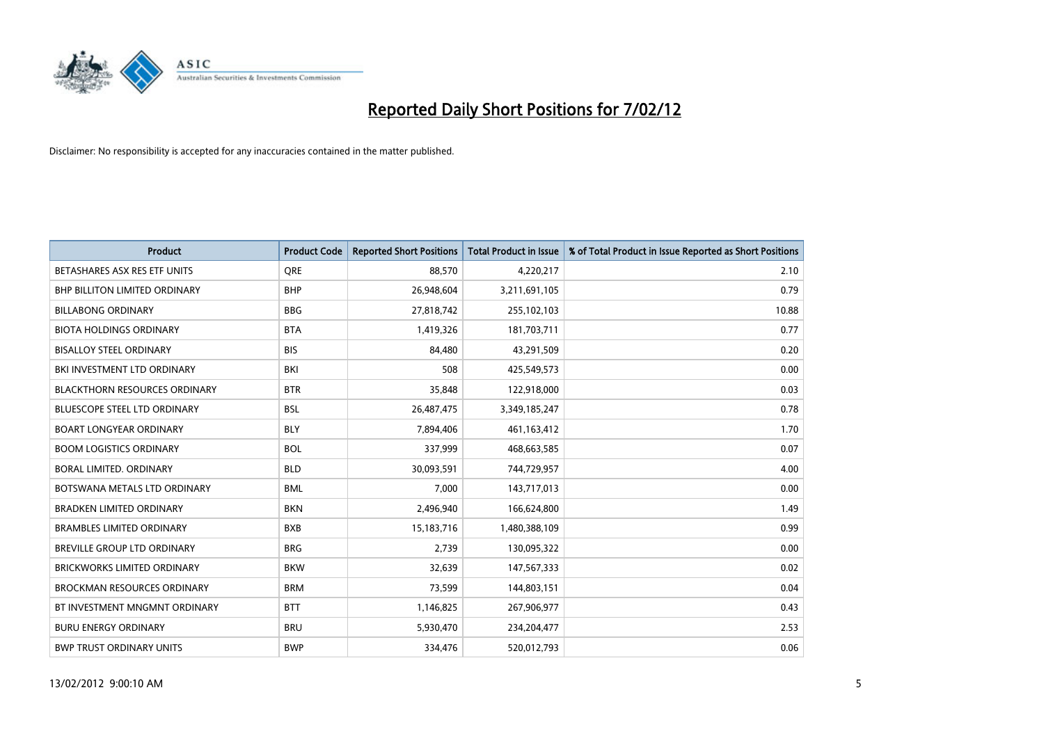

| <b>Product</b>                       | <b>Product Code</b> | <b>Reported Short Positions</b> | <b>Total Product in Issue</b> | % of Total Product in Issue Reported as Short Positions |
|--------------------------------------|---------------------|---------------------------------|-------------------------------|---------------------------------------------------------|
| BETASHARES ASX RES ETF UNITS         | <b>ORE</b>          | 88,570                          | 4,220,217                     | 2.10                                                    |
| <b>BHP BILLITON LIMITED ORDINARY</b> | <b>BHP</b>          | 26,948,604                      | 3,211,691,105                 | 0.79                                                    |
| <b>BILLABONG ORDINARY</b>            | <b>BBG</b>          | 27,818,742                      | 255,102,103                   | 10.88                                                   |
| <b>BIOTA HOLDINGS ORDINARY</b>       | <b>BTA</b>          | 1,419,326                       | 181,703,711                   | 0.77                                                    |
| <b>BISALLOY STEEL ORDINARY</b>       | <b>BIS</b>          | 84,480                          | 43,291,509                    | 0.20                                                    |
| BKI INVESTMENT LTD ORDINARY          | BKI                 | 508                             | 425,549,573                   | 0.00                                                    |
| <b>BLACKTHORN RESOURCES ORDINARY</b> | <b>BTR</b>          | 35,848                          | 122,918,000                   | 0.03                                                    |
| BLUESCOPE STEEL LTD ORDINARY         | <b>BSL</b>          | 26,487,475                      | 3,349,185,247                 | 0.78                                                    |
| <b>BOART LONGYEAR ORDINARY</b>       | <b>BLY</b>          | 7,894,406                       | 461,163,412                   | 1.70                                                    |
| <b>BOOM LOGISTICS ORDINARY</b>       | <b>BOL</b>          | 337,999                         | 468,663,585                   | 0.07                                                    |
| BORAL LIMITED. ORDINARY              | <b>BLD</b>          | 30,093,591                      | 744,729,957                   | 4.00                                                    |
| BOTSWANA METALS LTD ORDINARY         | <b>BML</b>          | 7,000                           | 143,717,013                   | 0.00                                                    |
| <b>BRADKEN LIMITED ORDINARY</b>      | <b>BKN</b>          | 2,496,940                       | 166,624,800                   | 1.49                                                    |
| <b>BRAMBLES LIMITED ORDINARY</b>     | <b>BXB</b>          | 15,183,716                      | 1,480,388,109                 | 0.99                                                    |
| <b>BREVILLE GROUP LTD ORDINARY</b>   | <b>BRG</b>          | 2,739                           | 130,095,322                   | 0.00                                                    |
| BRICKWORKS LIMITED ORDINARY          | <b>BKW</b>          | 32,639                          | 147,567,333                   | 0.02                                                    |
| <b>BROCKMAN RESOURCES ORDINARY</b>   | <b>BRM</b>          | 73,599                          | 144,803,151                   | 0.04                                                    |
| BT INVESTMENT MNGMNT ORDINARY        | <b>BTT</b>          | 1,146,825                       | 267,906,977                   | 0.43                                                    |
| <b>BURU ENERGY ORDINARY</b>          | <b>BRU</b>          | 5,930,470                       | 234,204,477                   | 2.53                                                    |
| <b>BWP TRUST ORDINARY UNITS</b>      | <b>BWP</b>          | 334,476                         | 520,012,793                   | 0.06                                                    |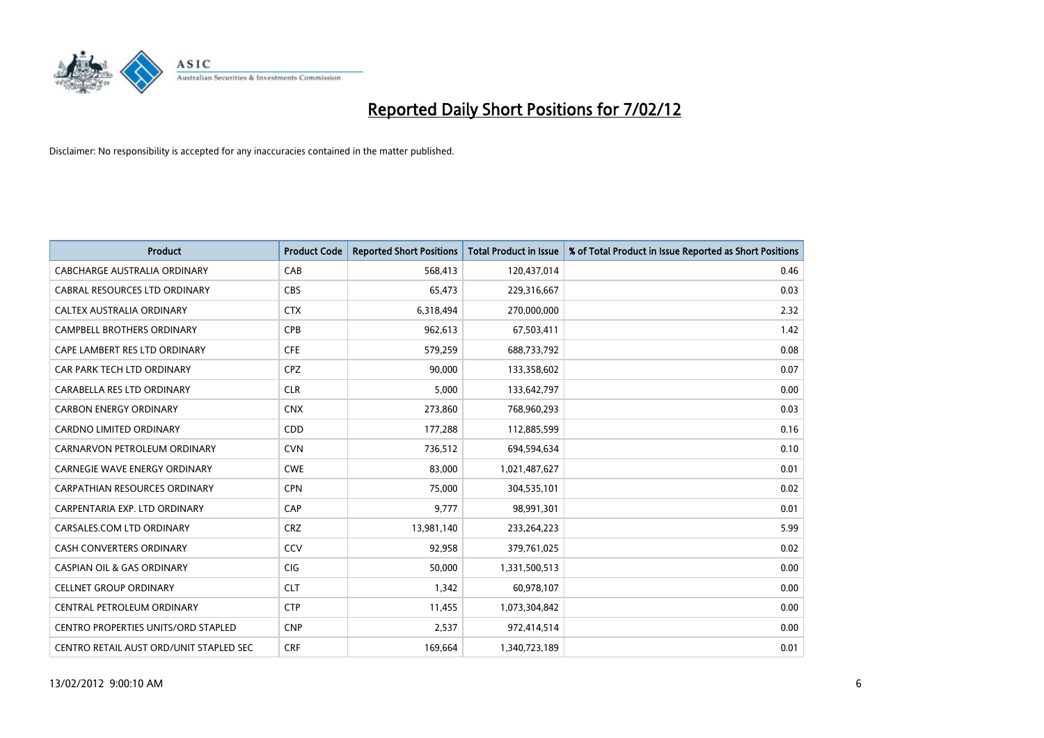

| <b>Product</b>                             | <b>Product Code</b> | <b>Reported Short Positions</b> | <b>Total Product in Issue</b> | % of Total Product in Issue Reported as Short Positions |
|--------------------------------------------|---------------------|---------------------------------|-------------------------------|---------------------------------------------------------|
| <b>CABCHARGE AUSTRALIA ORDINARY</b>        | CAB                 | 568,413                         | 120,437,014                   | 0.46                                                    |
| CABRAL RESOURCES LTD ORDINARY              | <b>CBS</b>          | 65,473                          | 229,316,667                   | 0.03                                                    |
| CALTEX AUSTRALIA ORDINARY                  | <b>CTX</b>          | 6,318,494                       | 270,000,000                   | 2.32                                                    |
| CAMPBELL BROTHERS ORDINARY                 | <b>CPB</b>          | 962,613                         | 67,503,411                    | 1.42                                                    |
| CAPE LAMBERT RES LTD ORDINARY              | <b>CFE</b>          | 579,259                         | 688,733,792                   | 0.08                                                    |
| CAR PARK TECH LTD ORDINARY                 | <b>CPZ</b>          | 90,000                          | 133,358,602                   | 0.07                                                    |
| CARABELLA RES LTD ORDINARY                 | <b>CLR</b>          | 5,000                           | 133,642,797                   | 0.00                                                    |
| <b>CARBON ENERGY ORDINARY</b>              | <b>CNX</b>          | 273,860                         | 768,960,293                   | 0.03                                                    |
| <b>CARDNO LIMITED ORDINARY</b>             | CDD                 | 177,288                         | 112,885,599                   | 0.16                                                    |
| CARNARVON PETROLEUM ORDINARY               | <b>CVN</b>          | 736,512                         | 694,594,634                   | 0.10                                                    |
| CARNEGIE WAVE ENERGY ORDINARY              | <b>CWE</b>          | 83,000                          | 1,021,487,627                 | 0.01                                                    |
| <b>CARPATHIAN RESOURCES ORDINARY</b>       | <b>CPN</b>          | 75,000                          | 304,535,101                   | 0.02                                                    |
| CARPENTARIA EXP. LTD ORDINARY              | CAP                 | 9,777                           | 98,991,301                    | 0.01                                                    |
| CARSALES.COM LTD ORDINARY                  | <b>CRZ</b>          | 13,981,140                      | 233,264,223                   | 5.99                                                    |
| <b>CASH CONVERTERS ORDINARY</b>            | CCV                 | 92,958                          | 379,761,025                   | 0.02                                                    |
| <b>CASPIAN OIL &amp; GAS ORDINARY</b>      | <b>CIG</b>          | 50,000                          | 1,331,500,513                 | 0.00                                                    |
| <b>CELLNET GROUP ORDINARY</b>              | <b>CLT</b>          | 1,342                           | 60,978,107                    | 0.00                                                    |
| CENTRAL PETROLEUM ORDINARY                 | <b>CTP</b>          | 11,455                          | 1,073,304,842                 | 0.00                                                    |
| <b>CENTRO PROPERTIES UNITS/ORD STAPLED</b> | <b>CNP</b>          | 2,537                           | 972,414,514                   | 0.00                                                    |
| CENTRO RETAIL AUST ORD/UNIT STAPLED SEC    | <b>CRF</b>          | 169,664                         | 1,340,723,189                 | 0.01                                                    |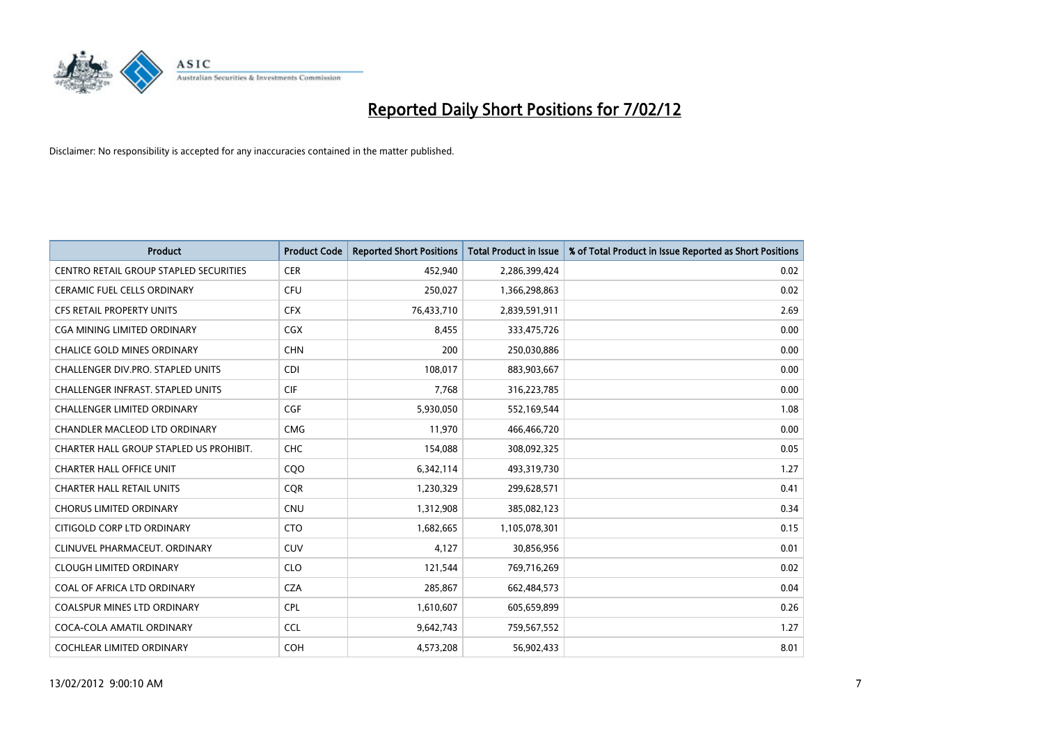

| <b>Product</b>                                | <b>Product Code</b> | <b>Reported Short Positions</b> | <b>Total Product in Issue</b> | % of Total Product in Issue Reported as Short Positions |
|-----------------------------------------------|---------------------|---------------------------------|-------------------------------|---------------------------------------------------------|
| <b>CENTRO RETAIL GROUP STAPLED SECURITIES</b> | <b>CER</b>          | 452,940                         | 2,286,399,424                 | 0.02                                                    |
| CERAMIC FUEL CELLS ORDINARY                   | <b>CFU</b>          | 250,027                         | 1,366,298,863                 | 0.02                                                    |
| <b>CFS RETAIL PROPERTY UNITS</b>              | <b>CFX</b>          | 76,433,710                      | 2,839,591,911                 | 2.69                                                    |
| CGA MINING LIMITED ORDINARY                   | CGX                 | 8,455                           | 333,475,726                   | 0.00                                                    |
| <b>CHALICE GOLD MINES ORDINARY</b>            | <b>CHN</b>          | 200                             | 250,030,886                   | 0.00                                                    |
| CHALLENGER DIV.PRO. STAPLED UNITS             | <b>CDI</b>          | 108,017                         | 883,903,667                   | 0.00                                                    |
| <b>CHALLENGER INFRAST, STAPLED UNITS</b>      | <b>CIF</b>          | 7,768                           | 316,223,785                   | 0.00                                                    |
| <b>CHALLENGER LIMITED ORDINARY</b>            | <b>CGF</b>          | 5,930,050                       | 552,169,544                   | 1.08                                                    |
| CHANDLER MACLEOD LTD ORDINARY                 | <b>CMG</b>          | 11,970                          | 466,466,720                   | 0.00                                                    |
| CHARTER HALL GROUP STAPLED US PROHIBIT.       | <b>CHC</b>          | 154,088                         | 308,092,325                   | 0.05                                                    |
| <b>CHARTER HALL OFFICE UNIT</b>               | CQO                 | 6,342,114                       | 493,319,730                   | 1.27                                                    |
| <b>CHARTER HALL RETAIL UNITS</b>              | <b>CQR</b>          | 1,230,329                       | 299,628,571                   | 0.41                                                    |
| <b>CHORUS LIMITED ORDINARY</b>                | <b>CNU</b>          | 1,312,908                       | 385,082,123                   | 0.34                                                    |
| CITIGOLD CORP LTD ORDINARY                    | <b>CTO</b>          | 1,682,665                       | 1,105,078,301                 | 0.15                                                    |
| CLINUVEL PHARMACEUT, ORDINARY                 | <b>CUV</b>          | 4,127                           | 30,856,956                    | 0.01                                                    |
| <b>CLOUGH LIMITED ORDINARY</b>                | <b>CLO</b>          | 121,544                         | 769,716,269                   | 0.02                                                    |
| COAL OF AFRICA LTD ORDINARY                   | <b>CZA</b>          | 285,867                         | 662,484,573                   | 0.04                                                    |
| COALSPUR MINES LTD ORDINARY                   | <b>CPL</b>          | 1,610,607                       | 605,659,899                   | 0.26                                                    |
| COCA-COLA AMATIL ORDINARY                     | <b>CCL</b>          | 9,642,743                       | 759,567,552                   | 1.27                                                    |
| COCHLEAR LIMITED ORDINARY                     | <b>COH</b>          | 4,573,208                       | 56,902,433                    | 8.01                                                    |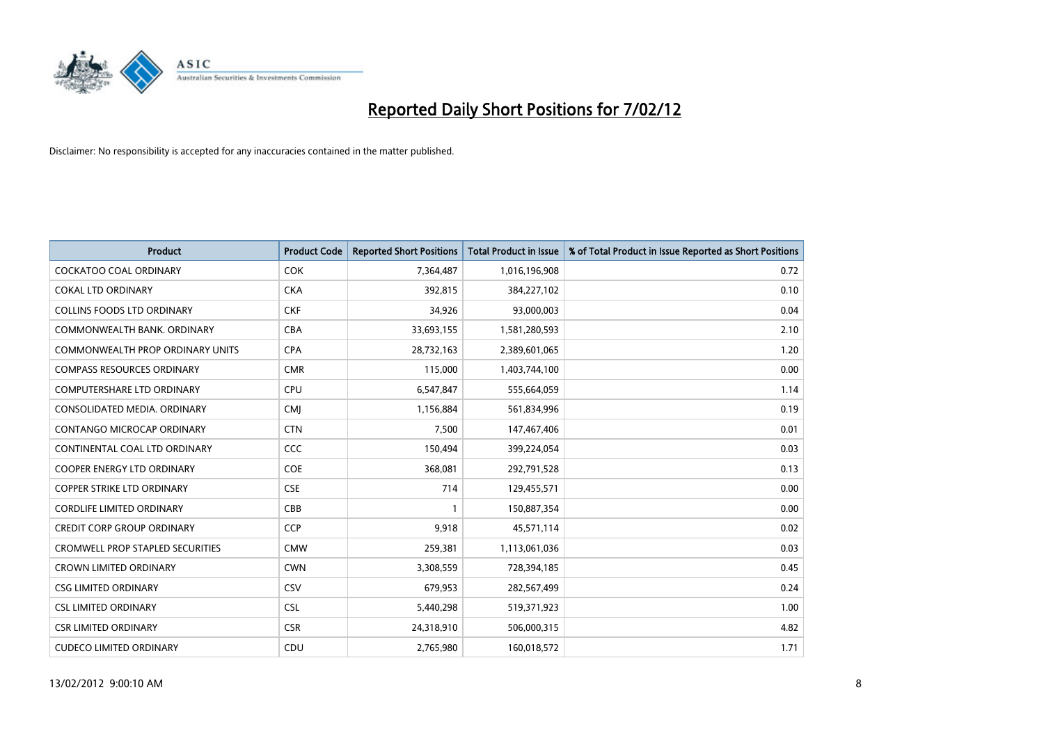

| <b>Product</b>                          | <b>Product Code</b> | <b>Reported Short Positions</b> | <b>Total Product in Issue</b> | % of Total Product in Issue Reported as Short Positions |
|-----------------------------------------|---------------------|---------------------------------|-------------------------------|---------------------------------------------------------|
| <b>COCKATOO COAL ORDINARY</b>           | <b>COK</b>          | 7,364,487                       | 1,016,196,908                 | 0.72                                                    |
| <b>COKAL LTD ORDINARY</b>               | <b>CKA</b>          | 392,815                         | 384,227,102                   | 0.10                                                    |
| <b>COLLINS FOODS LTD ORDINARY</b>       | <b>CKF</b>          | 34,926                          | 93,000,003                    | 0.04                                                    |
| COMMONWEALTH BANK, ORDINARY             | <b>CBA</b>          | 33,693,155                      | 1,581,280,593                 | 2.10                                                    |
| <b>COMMONWEALTH PROP ORDINARY UNITS</b> | <b>CPA</b>          | 28,732,163                      | 2,389,601,065                 | 1.20                                                    |
| <b>COMPASS RESOURCES ORDINARY</b>       | <b>CMR</b>          | 115,000                         | 1,403,744,100                 | 0.00                                                    |
| <b>COMPUTERSHARE LTD ORDINARY</b>       | <b>CPU</b>          | 6,547,847                       | 555,664,059                   | 1.14                                                    |
| CONSOLIDATED MEDIA, ORDINARY            | <b>CMJ</b>          | 1,156,884                       | 561,834,996                   | 0.19                                                    |
| CONTANGO MICROCAP ORDINARY              | <b>CTN</b>          | 7,500                           | 147,467,406                   | 0.01                                                    |
| CONTINENTAL COAL LTD ORDINARY           | <b>CCC</b>          | 150,494                         | 399,224,054                   | 0.03                                                    |
| COOPER ENERGY LTD ORDINARY              | <b>COE</b>          | 368,081                         | 292,791,528                   | 0.13                                                    |
| <b>COPPER STRIKE LTD ORDINARY</b>       | <b>CSE</b>          | 714                             | 129,455,571                   | 0.00                                                    |
| <b>CORDLIFE LIMITED ORDINARY</b>        | CBB                 | 1                               | 150,887,354                   | 0.00                                                    |
| <b>CREDIT CORP GROUP ORDINARY</b>       | <b>CCP</b>          | 9,918                           | 45,571,114                    | 0.02                                                    |
| <b>CROMWELL PROP STAPLED SECURITIES</b> | <b>CMW</b>          | 259,381                         | 1,113,061,036                 | 0.03                                                    |
| <b>CROWN LIMITED ORDINARY</b>           | <b>CWN</b>          | 3,308,559                       | 728,394,185                   | 0.45                                                    |
| <b>CSG LIMITED ORDINARY</b>             | <b>CSV</b>          | 679,953                         | 282,567,499                   | 0.24                                                    |
| <b>CSL LIMITED ORDINARY</b>             | <b>CSL</b>          | 5,440,298                       | 519,371,923                   | 1.00                                                    |
| <b>CSR LIMITED ORDINARY</b>             | <b>CSR</b>          | 24,318,910                      | 506,000,315                   | 4.82                                                    |
| <b>CUDECO LIMITED ORDINARY</b>          | CDU                 | 2,765,980                       | 160,018,572                   | 1.71                                                    |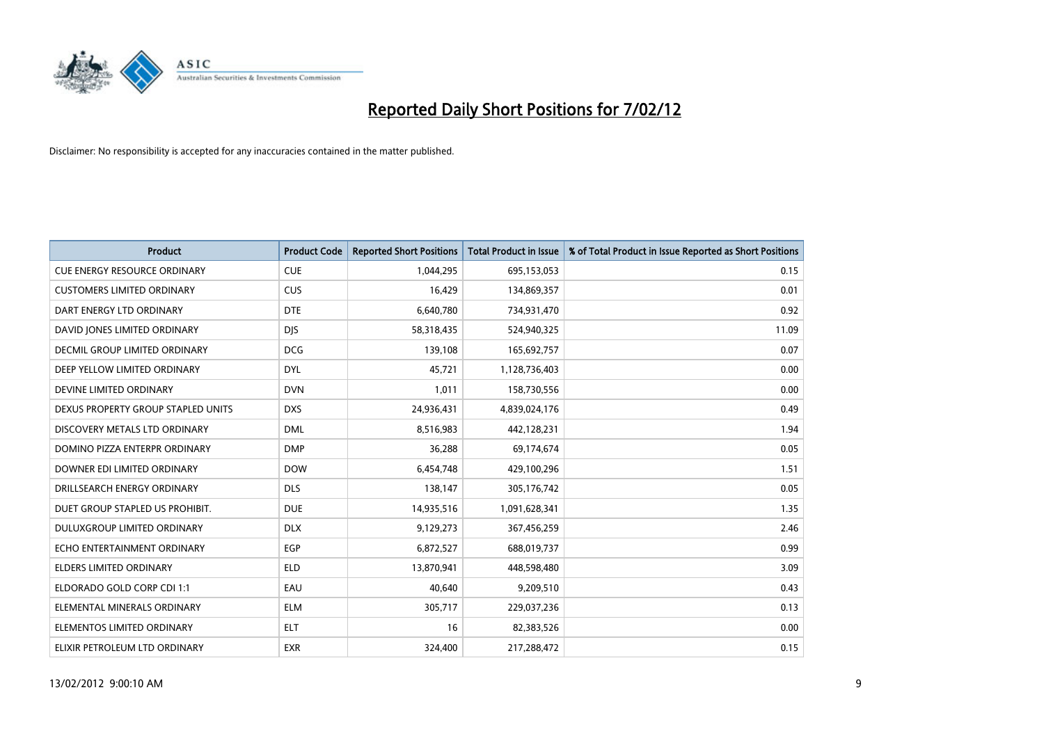

| <b>Product</b>                      | <b>Product Code</b> | <b>Reported Short Positions</b> | <b>Total Product in Issue</b> | % of Total Product in Issue Reported as Short Positions |
|-------------------------------------|---------------------|---------------------------------|-------------------------------|---------------------------------------------------------|
| <b>CUE ENERGY RESOURCE ORDINARY</b> | <b>CUE</b>          | 1,044,295                       | 695,153,053                   | 0.15                                                    |
| <b>CUSTOMERS LIMITED ORDINARY</b>   | <b>CUS</b>          | 16,429                          | 134,869,357                   | 0.01                                                    |
| DART ENERGY LTD ORDINARY            | <b>DTE</b>          | 6,640,780                       | 734,931,470                   | 0.92                                                    |
| DAVID JONES LIMITED ORDINARY        | <b>DJS</b>          | 58,318,435                      | 524,940,325                   | 11.09                                                   |
| DECMIL GROUP LIMITED ORDINARY       | <b>DCG</b>          | 139,108                         | 165,692,757                   | 0.07                                                    |
| DEEP YELLOW LIMITED ORDINARY        | <b>DYL</b>          | 45,721                          | 1,128,736,403                 | 0.00                                                    |
| DEVINE LIMITED ORDINARY             | <b>DVN</b>          | 1,011                           | 158,730,556                   | 0.00                                                    |
| DEXUS PROPERTY GROUP STAPLED UNITS  | <b>DXS</b>          | 24,936,431                      | 4,839,024,176                 | 0.49                                                    |
| DISCOVERY METALS LTD ORDINARY       | <b>DML</b>          | 8,516,983                       | 442,128,231                   | 1.94                                                    |
| DOMINO PIZZA ENTERPR ORDINARY       | <b>DMP</b>          | 36,288                          | 69,174,674                    | 0.05                                                    |
| DOWNER EDI LIMITED ORDINARY         | <b>DOW</b>          | 6,454,748                       | 429,100,296                   | 1.51                                                    |
| DRILLSEARCH ENERGY ORDINARY         | <b>DLS</b>          | 138,147                         | 305,176,742                   | 0.05                                                    |
| DUET GROUP STAPLED US PROHIBIT.     | <b>DUE</b>          | 14,935,516                      | 1,091,628,341                 | 1.35                                                    |
| DULUXGROUP LIMITED ORDINARY         | <b>DLX</b>          | 9,129,273                       | 367,456,259                   | 2.46                                                    |
| ECHO ENTERTAINMENT ORDINARY         | EGP                 | 6,872,527                       | 688,019,737                   | 0.99                                                    |
| ELDERS LIMITED ORDINARY             | <b>ELD</b>          | 13,870,941                      | 448,598,480                   | 3.09                                                    |
| ELDORADO GOLD CORP CDI 1:1          | EAU                 | 40,640                          | 9,209,510                     | 0.43                                                    |
| ELEMENTAL MINERALS ORDINARY         | ELM                 | 305,717                         | 229,037,236                   | 0.13                                                    |
| ELEMENTOS LIMITED ORDINARY          | <b>ELT</b>          | 16                              | 82,383,526                    | 0.00                                                    |
| ELIXIR PETROLEUM LTD ORDINARY       | <b>EXR</b>          | 324,400                         | 217,288,472                   | 0.15                                                    |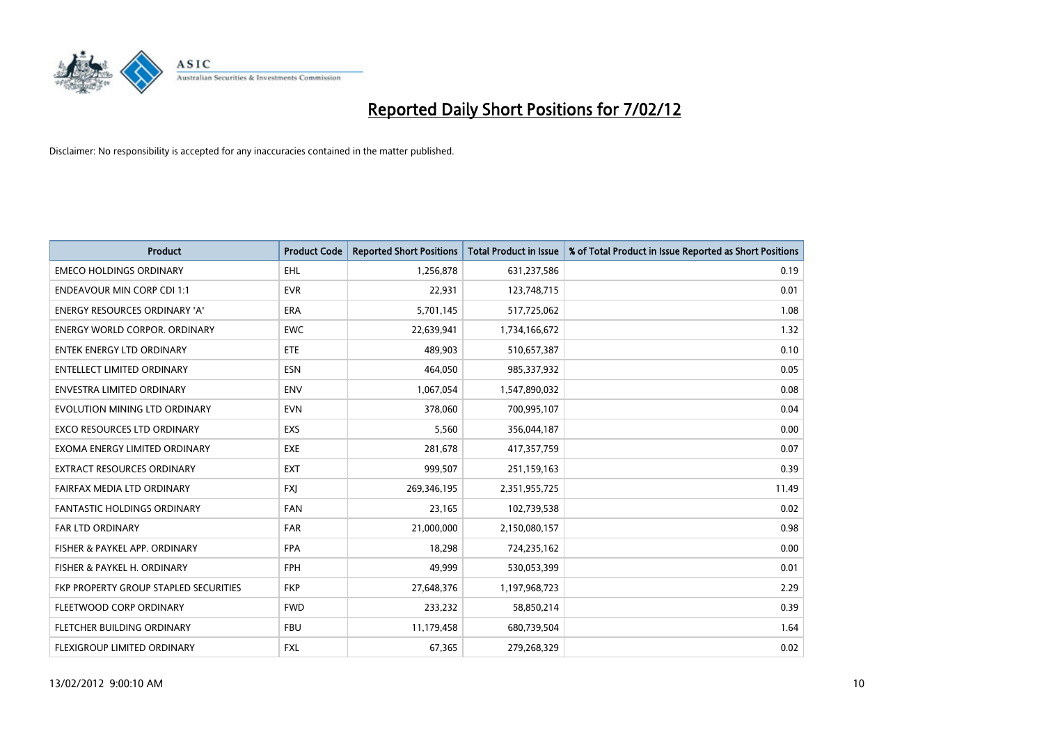

| <b>Product</b>                        | <b>Product Code</b> | <b>Reported Short Positions</b> | <b>Total Product in Issue</b> | % of Total Product in Issue Reported as Short Positions |
|---------------------------------------|---------------------|---------------------------------|-------------------------------|---------------------------------------------------------|
| <b>EMECO HOLDINGS ORDINARY</b>        | <b>EHL</b>          | 1,256,878                       | 631,237,586                   | 0.19                                                    |
| <b>ENDEAVOUR MIN CORP CDI 1:1</b>     | <b>EVR</b>          | 22,931                          | 123,748,715                   | 0.01                                                    |
| <b>ENERGY RESOURCES ORDINARY 'A'</b>  | <b>ERA</b>          | 5,701,145                       | 517,725,062                   | 1.08                                                    |
| ENERGY WORLD CORPOR. ORDINARY         | <b>EWC</b>          | 22,639,941                      | 1,734,166,672                 | 1.32                                                    |
| <b>ENTEK ENERGY LTD ORDINARY</b>      | ETE                 | 489,903                         | 510,657,387                   | 0.10                                                    |
| <b>ENTELLECT LIMITED ORDINARY</b>     | <b>ESN</b>          | 464,050                         | 985,337,932                   | 0.05                                                    |
| <b>ENVESTRA LIMITED ORDINARY</b>      | <b>ENV</b>          | 1,067,054                       | 1,547,890,032                 | 0.08                                                    |
| EVOLUTION MINING LTD ORDINARY         | <b>EVN</b>          | 378,060                         | 700,995,107                   | 0.04                                                    |
| <b>EXCO RESOURCES LTD ORDINARY</b>    | <b>EXS</b>          | 5,560                           | 356,044,187                   | 0.00                                                    |
| EXOMA ENERGY LIMITED ORDINARY         | <b>EXE</b>          | 281,678                         | 417,357,759                   | 0.07                                                    |
| EXTRACT RESOURCES ORDINARY            | <b>EXT</b>          | 999,507                         | 251,159,163                   | 0.39                                                    |
| FAIRFAX MEDIA LTD ORDINARY            | FXJ                 | 269,346,195                     | 2,351,955,725                 | 11.49                                                   |
| FANTASTIC HOLDINGS ORDINARY           | <b>FAN</b>          | 23,165                          | 102,739,538                   | 0.02                                                    |
| <b>FAR LTD ORDINARY</b>               | <b>FAR</b>          | 21,000,000                      | 2,150,080,157                 | 0.98                                                    |
| FISHER & PAYKEL APP. ORDINARY         | <b>FPA</b>          | 18,298                          | 724,235,162                   | 0.00                                                    |
| FISHER & PAYKEL H. ORDINARY           | <b>FPH</b>          | 49,999                          | 530,053,399                   | 0.01                                                    |
| FKP PROPERTY GROUP STAPLED SECURITIES | <b>FKP</b>          | 27,648,376                      | 1,197,968,723                 | 2.29                                                    |
| FLEETWOOD CORP ORDINARY               | <b>FWD</b>          | 233,232                         | 58,850,214                    | 0.39                                                    |
| FLETCHER BUILDING ORDINARY            | <b>FBU</b>          | 11,179,458                      | 680,739,504                   | 1.64                                                    |
| FLEXIGROUP LIMITED ORDINARY           | <b>FXL</b>          | 67,365                          | 279,268,329                   | 0.02                                                    |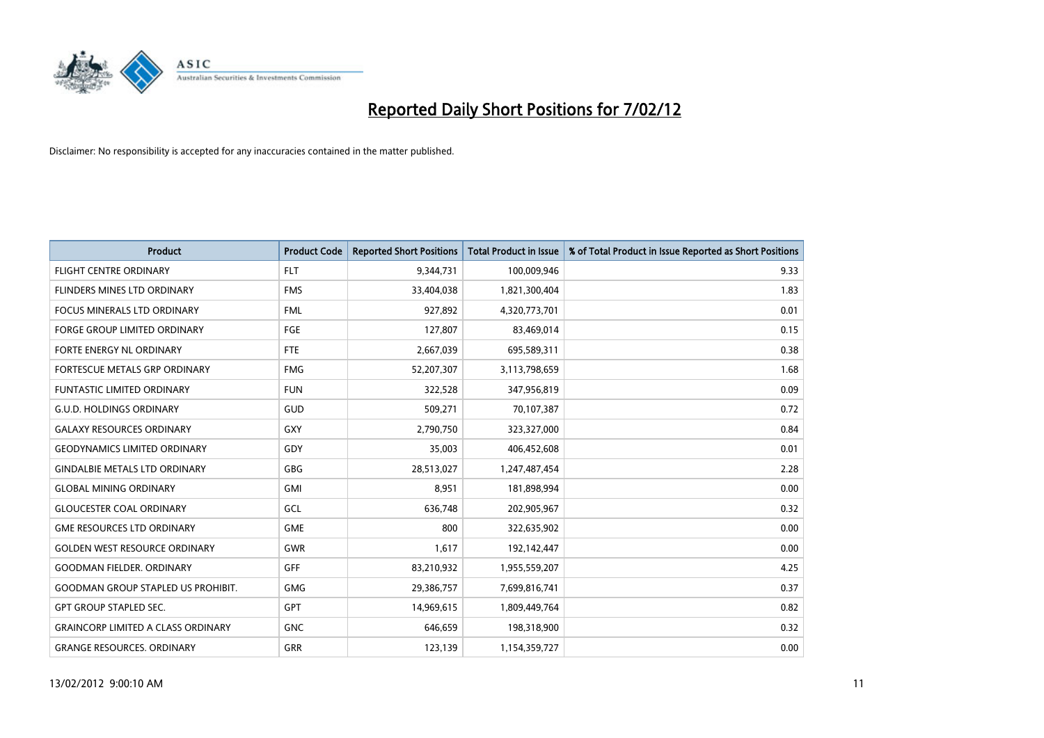

| <b>Product</b>                            | <b>Product Code</b> | <b>Reported Short Positions</b> | <b>Total Product in Issue</b> | % of Total Product in Issue Reported as Short Positions |
|-------------------------------------------|---------------------|---------------------------------|-------------------------------|---------------------------------------------------------|
| <b>FLIGHT CENTRE ORDINARY</b>             | <b>FLT</b>          | 9,344,731                       | 100,009,946                   | 9.33                                                    |
| FLINDERS MINES LTD ORDINARY               | <b>FMS</b>          | 33,404,038                      | 1,821,300,404                 | 1.83                                                    |
| <b>FOCUS MINERALS LTD ORDINARY</b>        | <b>FML</b>          | 927,892                         | 4,320,773,701                 | 0.01                                                    |
| FORGE GROUP LIMITED ORDINARY              | FGE                 | 127,807                         | 83,469,014                    | 0.15                                                    |
| FORTE ENERGY NL ORDINARY                  | FTE                 | 2,667,039                       | 695,589,311                   | 0.38                                                    |
| FORTESCUE METALS GRP ORDINARY             | <b>FMG</b>          | 52,207,307                      | 3,113,798,659                 | 1.68                                                    |
| <b>FUNTASTIC LIMITED ORDINARY</b>         | <b>FUN</b>          | 322,528                         | 347,956,819                   | 0.09                                                    |
| <b>G.U.D. HOLDINGS ORDINARY</b>           | GUD                 | 509,271                         | 70,107,387                    | 0.72                                                    |
| <b>GALAXY RESOURCES ORDINARY</b>          | GXY                 | 2,790,750                       | 323,327,000                   | 0.84                                                    |
| <b>GEODYNAMICS LIMITED ORDINARY</b>       | GDY                 | 35,003                          | 406,452,608                   | 0.01                                                    |
| <b>GINDALBIE METALS LTD ORDINARY</b>      | GBG                 | 28,513,027                      | 1,247,487,454                 | 2.28                                                    |
| <b>GLOBAL MINING ORDINARY</b>             | GMI                 | 8,951                           | 181,898,994                   | 0.00                                                    |
| <b>GLOUCESTER COAL ORDINARY</b>           | GCL                 | 636,748                         | 202,905,967                   | 0.32                                                    |
| <b>GME RESOURCES LTD ORDINARY</b>         | <b>GME</b>          | 800                             | 322,635,902                   | 0.00                                                    |
| <b>GOLDEN WEST RESOURCE ORDINARY</b>      | <b>GWR</b>          | 1,617                           | 192,142,447                   | 0.00                                                    |
| <b>GOODMAN FIELDER. ORDINARY</b>          | <b>GFF</b>          | 83,210,932                      | 1,955,559,207                 | 4.25                                                    |
| <b>GOODMAN GROUP STAPLED US PROHIBIT.</b> | GMG                 | 29,386,757                      | 7,699,816,741                 | 0.37                                                    |
| <b>GPT GROUP STAPLED SEC.</b>             | <b>GPT</b>          | 14,969,615                      | 1,809,449,764                 | 0.82                                                    |
| <b>GRAINCORP LIMITED A CLASS ORDINARY</b> | <b>GNC</b>          | 646,659                         | 198,318,900                   | 0.32                                                    |
| <b>GRANGE RESOURCES. ORDINARY</b>         | GRR                 | 123,139                         | 1,154,359,727                 | 0.00                                                    |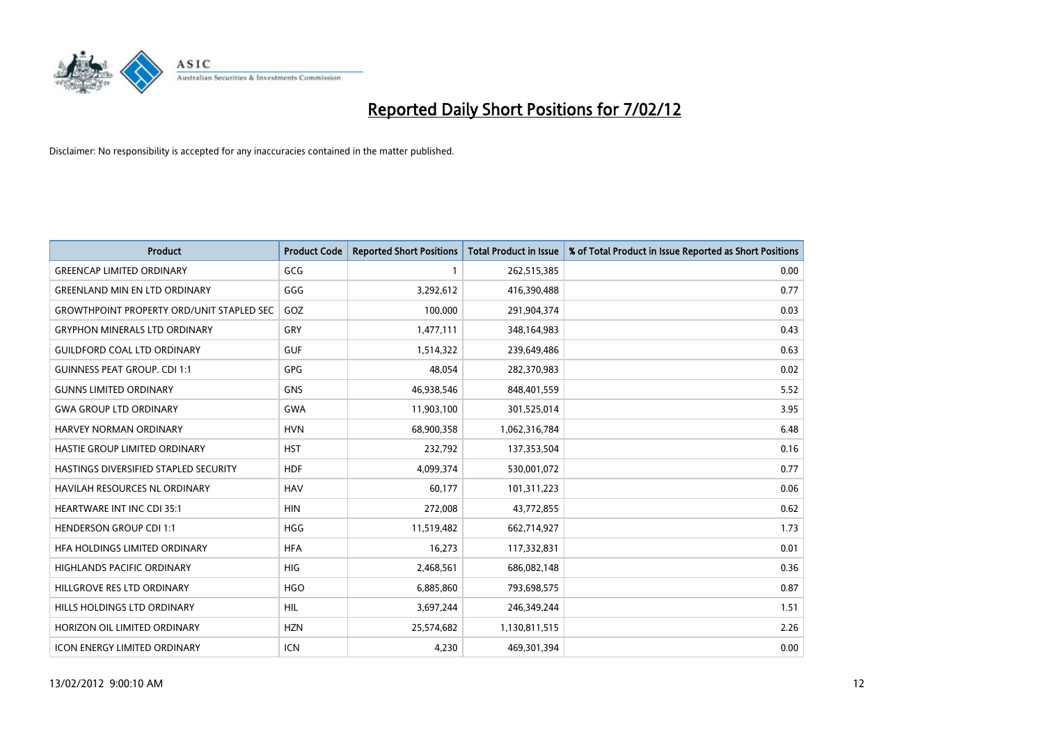

| <b>Product</b>                                   | <b>Product Code</b> | <b>Reported Short Positions</b> | <b>Total Product in Issue</b> | % of Total Product in Issue Reported as Short Positions |
|--------------------------------------------------|---------------------|---------------------------------|-------------------------------|---------------------------------------------------------|
| <b>GREENCAP LIMITED ORDINARY</b>                 | GCG                 | 1                               | 262,515,385                   | 0.00                                                    |
| <b>GREENLAND MIN EN LTD ORDINARY</b>             | GGG                 | 3,292,612                       | 416,390,488                   | 0.77                                                    |
| <b>GROWTHPOINT PROPERTY ORD/UNIT STAPLED SEC</b> | GOZ                 | 100,000                         | 291,904,374                   | 0.03                                                    |
| <b>GRYPHON MINERALS LTD ORDINARY</b>             | GRY                 | 1,477,111                       | 348,164,983                   | 0.43                                                    |
| <b>GUILDFORD COAL LTD ORDINARY</b>               | <b>GUF</b>          | 1,514,322                       | 239,649,486                   | 0.63                                                    |
| <b>GUINNESS PEAT GROUP. CDI 1:1</b>              | <b>GPG</b>          | 48,054                          | 282,370,983                   | 0.02                                                    |
| <b>GUNNS LIMITED ORDINARY</b>                    | <b>GNS</b>          | 46,938,546                      | 848,401,559                   | 5.52                                                    |
| <b>GWA GROUP LTD ORDINARY</b>                    | <b>GWA</b>          | 11,903,100                      | 301,525,014                   | 3.95                                                    |
| <b>HARVEY NORMAN ORDINARY</b>                    | <b>HVN</b>          | 68,900,358                      | 1,062,316,784                 | 6.48                                                    |
| HASTIE GROUP LIMITED ORDINARY                    | <b>HST</b>          | 232,792                         | 137,353,504                   | 0.16                                                    |
| HASTINGS DIVERSIFIED STAPLED SECURITY            | <b>HDF</b>          | 4,099,374                       | 530,001,072                   | 0.77                                                    |
| HAVILAH RESOURCES NL ORDINARY                    | <b>HAV</b>          | 60,177                          | 101,311,223                   | 0.06                                                    |
| HEARTWARE INT INC CDI 35:1                       | <b>HIN</b>          | 272,008                         | 43,772,855                    | 0.62                                                    |
| <b>HENDERSON GROUP CDI 1:1</b>                   | <b>HGG</b>          | 11,519,482                      | 662,714,927                   | 1.73                                                    |
| HFA HOLDINGS LIMITED ORDINARY                    | <b>HFA</b>          | 16,273                          | 117,332,831                   | 0.01                                                    |
| HIGHLANDS PACIFIC ORDINARY                       | HIG                 | 2,468,561                       | 686,082,148                   | 0.36                                                    |
| HILLGROVE RES LTD ORDINARY                       | <b>HGO</b>          | 6,885,860                       | 793,698,575                   | 0.87                                                    |
| HILLS HOLDINGS LTD ORDINARY                      | <b>HIL</b>          | 3,697,244                       | 246,349,244                   | 1.51                                                    |
| HORIZON OIL LIMITED ORDINARY                     | <b>HZN</b>          | 25,574,682                      | 1,130,811,515                 | 2.26                                                    |
| ICON ENERGY LIMITED ORDINARY                     | ICN                 | 4,230                           | 469,301,394                   | 0.00                                                    |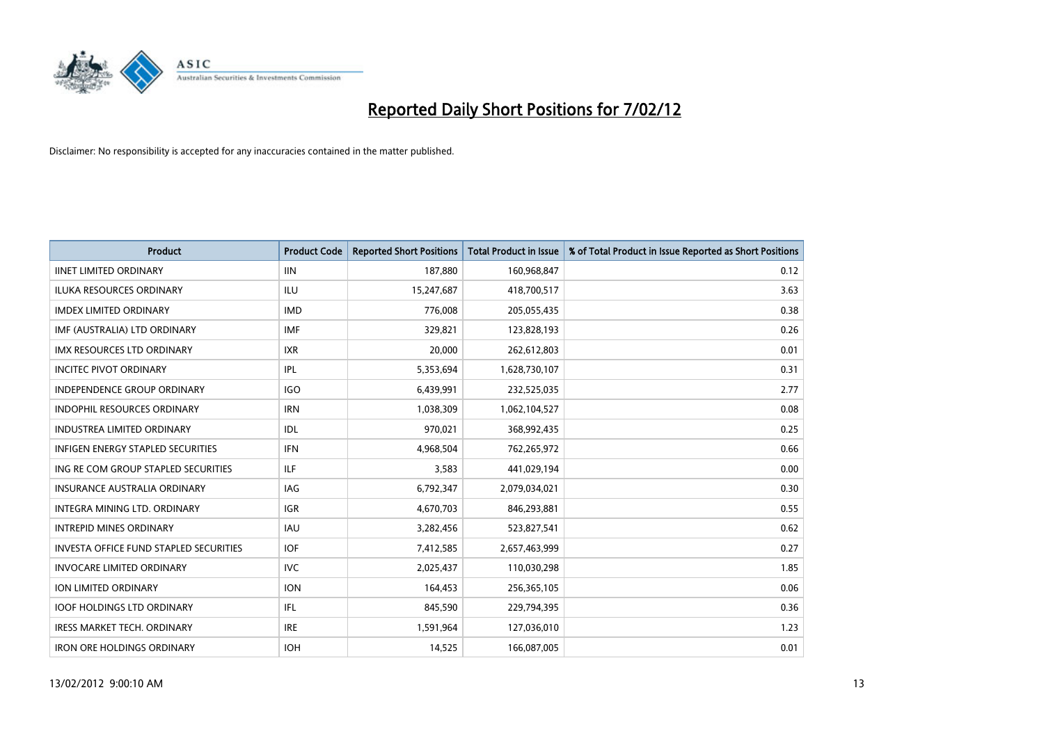

| <b>Product</b>                                | <b>Product Code</b> | <b>Reported Short Positions</b> | <b>Total Product in Issue</b> | % of Total Product in Issue Reported as Short Positions |
|-----------------------------------------------|---------------------|---------------------------------|-------------------------------|---------------------------------------------------------|
| <b>IINET LIMITED ORDINARY</b>                 | <b>IIN</b>          | 187,880                         | 160,968,847                   | 0.12                                                    |
| ILUKA RESOURCES ORDINARY                      | ILU                 | 15,247,687                      | 418,700,517                   | 3.63                                                    |
| <b>IMDEX LIMITED ORDINARY</b>                 | <b>IMD</b>          | 776,008                         | 205,055,435                   | 0.38                                                    |
| IMF (AUSTRALIA) LTD ORDINARY                  | <b>IMF</b>          | 329,821                         | 123,828,193                   | 0.26                                                    |
| <b>IMX RESOURCES LTD ORDINARY</b>             | <b>IXR</b>          | 20,000                          | 262,612,803                   | 0.01                                                    |
| <b>INCITEC PIVOT ORDINARY</b>                 | IPL                 | 5,353,694                       | 1,628,730,107                 | 0.31                                                    |
| INDEPENDENCE GROUP ORDINARY                   | <b>IGO</b>          | 6,439,991                       | 232,525,035                   | 2.77                                                    |
| INDOPHIL RESOURCES ORDINARY                   | <b>IRN</b>          | 1,038,309                       | 1,062,104,527                 | 0.08                                                    |
| <b>INDUSTREA LIMITED ORDINARY</b>             | <b>IDL</b>          | 970,021                         | 368,992,435                   | 0.25                                                    |
| <b>INFIGEN ENERGY STAPLED SECURITIES</b>      | <b>IFN</b>          | 4,968,504                       | 762,265,972                   | 0.66                                                    |
| ING RE COM GROUP STAPLED SECURITIES           | ILF.                | 3,583                           | 441,029,194                   | 0.00                                                    |
| <b>INSURANCE AUSTRALIA ORDINARY</b>           | IAG                 | 6,792,347                       | 2,079,034,021                 | 0.30                                                    |
| INTEGRA MINING LTD. ORDINARY                  | <b>IGR</b>          | 4,670,703                       | 846,293,881                   | 0.55                                                    |
| <b>INTREPID MINES ORDINARY</b>                | <b>IAU</b>          | 3,282,456                       | 523,827,541                   | 0.62                                                    |
| <b>INVESTA OFFICE FUND STAPLED SECURITIES</b> | <b>IOF</b>          | 7,412,585                       | 2,657,463,999                 | 0.27                                                    |
| <b>INVOCARE LIMITED ORDINARY</b>              | <b>IVC</b>          | 2,025,437                       | 110,030,298                   | 1.85                                                    |
| ION LIMITED ORDINARY                          | <b>ION</b>          | 164,453                         | 256,365,105                   | 0.06                                                    |
| <b>IOOF HOLDINGS LTD ORDINARY</b>             | IFL                 | 845,590                         | 229,794,395                   | 0.36                                                    |
| <b>IRESS MARKET TECH. ORDINARY</b>            | <b>IRE</b>          | 1,591,964                       | 127,036,010                   | 1.23                                                    |
| <b>IRON ORE HOLDINGS ORDINARY</b>             | <b>IOH</b>          | 14,525                          | 166,087,005                   | 0.01                                                    |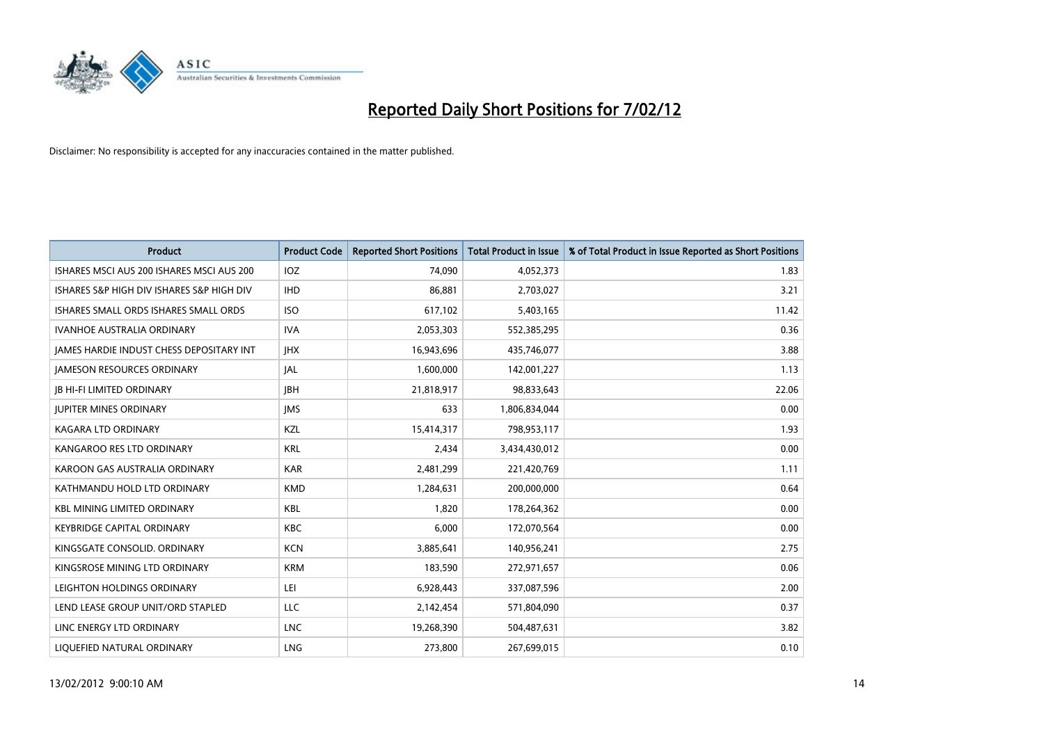

| <b>Product</b>                            | <b>Product Code</b> | <b>Reported Short Positions</b> | <b>Total Product in Issue</b> | % of Total Product in Issue Reported as Short Positions |
|-------------------------------------------|---------------------|---------------------------------|-------------------------------|---------------------------------------------------------|
| ISHARES MSCI AUS 200 ISHARES MSCI AUS 200 | <b>IOZ</b>          | 74,090                          | 4,052,373                     | 1.83                                                    |
| ISHARES S&P HIGH DIV ISHARES S&P HIGH DIV | <b>IHD</b>          | 86,881                          | 2,703,027                     | 3.21                                                    |
| ISHARES SMALL ORDS ISHARES SMALL ORDS     | <b>ISO</b>          | 617,102                         | 5,403,165                     | 11.42                                                   |
| <b>IVANHOE AUSTRALIA ORDINARY</b>         | <b>IVA</b>          | 2,053,303                       | 552,385,295                   | 0.36                                                    |
| JAMES HARDIE INDUST CHESS DEPOSITARY INT  | <b>IHX</b>          | 16,943,696                      | 435,746,077                   | 3.88                                                    |
| <b>JAMESON RESOURCES ORDINARY</b>         | JAL                 | 1,600,000                       | 142,001,227                   | 1.13                                                    |
| <b>JB HI-FI LIMITED ORDINARY</b>          | <b>JBH</b>          | 21,818,917                      | 98,833,643                    | 22.06                                                   |
| <b>JUPITER MINES ORDINARY</b>             | <b>IMS</b>          | 633                             | 1,806,834,044                 | 0.00                                                    |
| <b>KAGARA LTD ORDINARY</b>                | KZL                 | 15,414,317                      | 798,953,117                   | 1.93                                                    |
| KANGAROO RES LTD ORDINARY                 | <b>KRL</b>          | 2,434                           | 3,434,430,012                 | 0.00                                                    |
| KAROON GAS AUSTRALIA ORDINARY             | <b>KAR</b>          | 2,481,299                       | 221,420,769                   | 1.11                                                    |
| KATHMANDU HOLD LTD ORDINARY               | <b>KMD</b>          | 1,284,631                       | 200,000,000                   | 0.64                                                    |
| <b>KBL MINING LIMITED ORDINARY</b>        | <b>KBL</b>          | 1,820                           | 178,264,362                   | 0.00                                                    |
| <b>KEYBRIDGE CAPITAL ORDINARY</b>         | <b>KBC</b>          | 6,000                           | 172,070,564                   | 0.00                                                    |
| KINGSGATE CONSOLID. ORDINARY              | <b>KCN</b>          | 3,885,641                       | 140,956,241                   | 2.75                                                    |
| KINGSROSE MINING LTD ORDINARY             | <b>KRM</b>          | 183,590                         | 272,971,657                   | 0.06                                                    |
| LEIGHTON HOLDINGS ORDINARY                | LEI                 | 6,928,443                       | 337,087,596                   | 2.00                                                    |
| LEND LEASE GROUP UNIT/ORD STAPLED         | <b>LLC</b>          | 2,142,454                       | 571,804,090                   | 0.37                                                    |
| LINC ENERGY LTD ORDINARY                  | <b>LNC</b>          | 19,268,390                      | 504,487,631                   | 3.82                                                    |
| LIQUEFIED NATURAL ORDINARY                | <b>LNG</b>          | 273,800                         | 267,699,015                   | 0.10                                                    |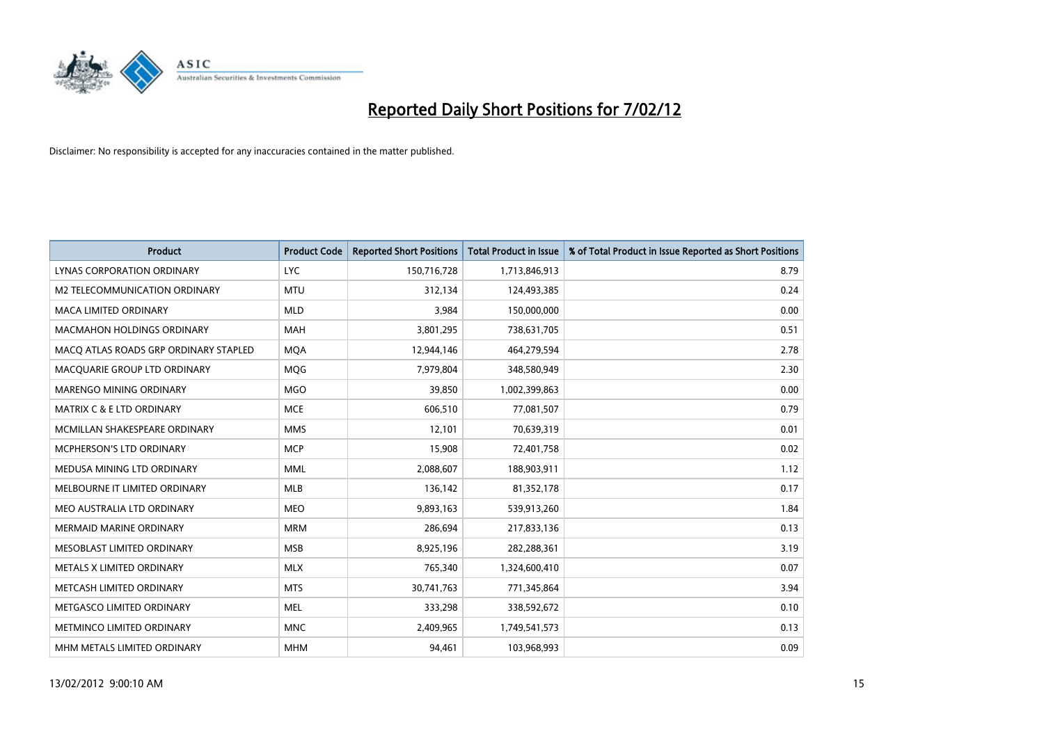

| <b>Product</b>                        | <b>Product Code</b> | <b>Reported Short Positions</b> | Total Product in Issue | % of Total Product in Issue Reported as Short Positions |
|---------------------------------------|---------------------|---------------------------------|------------------------|---------------------------------------------------------|
| <b>LYNAS CORPORATION ORDINARY</b>     | <b>LYC</b>          | 150,716,728                     | 1,713,846,913          | 8.79                                                    |
| M2 TELECOMMUNICATION ORDINARY         | <b>MTU</b>          | 312,134                         | 124,493,385            | 0.24                                                    |
| <b>MACA LIMITED ORDINARY</b>          | <b>MLD</b>          | 3,984                           | 150,000,000            | 0.00                                                    |
| <b>MACMAHON HOLDINGS ORDINARY</b>     | <b>MAH</b>          | 3,801,295                       | 738,631,705            | 0.51                                                    |
| MACO ATLAS ROADS GRP ORDINARY STAPLED | <b>MOA</b>          | 12,944,146                      | 464,279,594            | 2.78                                                    |
| MACQUARIE GROUP LTD ORDINARY          | MQG                 | 7,979,804                       | 348,580,949            | 2.30                                                    |
| MARENGO MINING ORDINARY               | <b>MGO</b>          | 39,850                          | 1,002,399,863          | 0.00                                                    |
| MATRIX C & E LTD ORDINARY             | <b>MCE</b>          | 606,510                         | 77,081,507             | 0.79                                                    |
| MCMILLAN SHAKESPEARE ORDINARY         | <b>MMS</b>          | 12,101                          | 70,639,319             | 0.01                                                    |
| MCPHERSON'S LTD ORDINARY              | <b>MCP</b>          | 15,908                          | 72,401,758             | 0.02                                                    |
| MEDUSA MINING LTD ORDINARY            | <b>MML</b>          | 2,088,607                       | 188,903,911            | 1.12                                                    |
| MELBOURNE IT LIMITED ORDINARY         | <b>MLB</b>          | 136,142                         | 81,352,178             | 0.17                                                    |
| MEO AUSTRALIA LTD ORDINARY            | <b>MEO</b>          | 9,893,163                       | 539,913,260            | 1.84                                                    |
| <b>MERMAID MARINE ORDINARY</b>        | <b>MRM</b>          | 286,694                         | 217,833,136            | 0.13                                                    |
| MESOBLAST LIMITED ORDINARY            | <b>MSB</b>          | 8,925,196                       | 282,288,361            | 3.19                                                    |
| METALS X LIMITED ORDINARY             | <b>MLX</b>          | 765,340                         | 1,324,600,410          | 0.07                                                    |
| METCASH LIMITED ORDINARY              | <b>MTS</b>          | 30,741,763                      | 771,345,864            | 3.94                                                    |
| METGASCO LIMITED ORDINARY             | <b>MEL</b>          | 333,298                         | 338,592,672            | 0.10                                                    |
| METMINCO LIMITED ORDINARY             | <b>MNC</b>          | 2,409,965                       | 1,749,541,573          | 0.13                                                    |
| MHM METALS LIMITED ORDINARY           | <b>MHM</b>          | 94,461                          | 103,968,993            | 0.09                                                    |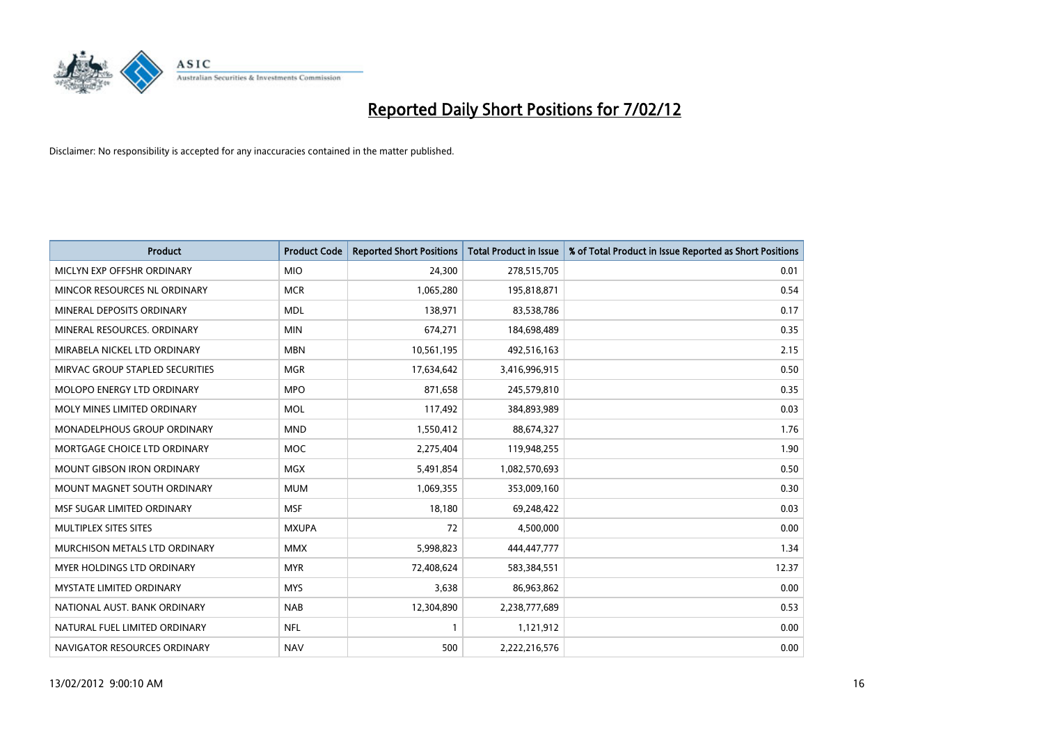

| <b>Product</b>                    | <b>Product Code</b> | <b>Reported Short Positions</b> | <b>Total Product in Issue</b> | % of Total Product in Issue Reported as Short Positions |
|-----------------------------------|---------------------|---------------------------------|-------------------------------|---------------------------------------------------------|
| MICLYN EXP OFFSHR ORDINARY        | <b>MIO</b>          | 24,300                          | 278,515,705                   | 0.01                                                    |
| MINCOR RESOURCES NL ORDINARY      | <b>MCR</b>          | 1,065,280                       | 195,818,871                   | 0.54                                                    |
| MINERAL DEPOSITS ORDINARY         | <b>MDL</b>          | 138,971                         | 83,538,786                    | 0.17                                                    |
| MINERAL RESOURCES, ORDINARY       | <b>MIN</b>          | 674,271                         | 184,698,489                   | 0.35                                                    |
| MIRABELA NICKEL LTD ORDINARY      | <b>MBN</b>          | 10,561,195                      | 492,516,163                   | 2.15                                                    |
| MIRVAC GROUP STAPLED SECURITIES   | <b>MGR</b>          | 17,634,642                      | 3,416,996,915                 | 0.50                                                    |
| MOLOPO ENERGY LTD ORDINARY        | <b>MPO</b>          | 871,658                         | 245,579,810                   | 0.35                                                    |
| MOLY MINES LIMITED ORDINARY       | <b>MOL</b>          | 117,492                         | 384,893,989                   | 0.03                                                    |
| MONADELPHOUS GROUP ORDINARY       | <b>MND</b>          | 1,550,412                       | 88,674,327                    | 1.76                                                    |
| MORTGAGE CHOICE LTD ORDINARY      | <b>MOC</b>          | 2,275,404                       | 119,948,255                   | 1.90                                                    |
| <b>MOUNT GIBSON IRON ORDINARY</b> | <b>MGX</b>          | 5,491,854                       | 1,082,570,693                 | 0.50                                                    |
| MOUNT MAGNET SOUTH ORDINARY       | <b>MUM</b>          | 1,069,355                       | 353,009,160                   | 0.30                                                    |
| MSF SUGAR LIMITED ORDINARY        | <b>MSF</b>          | 18,180                          | 69,248,422                    | 0.03                                                    |
| MULTIPLEX SITES SITES             | <b>MXUPA</b>        | 72                              | 4,500,000                     | 0.00                                                    |
| MURCHISON METALS LTD ORDINARY     | <b>MMX</b>          | 5,998,823                       | 444,447,777                   | 1.34                                                    |
| MYER HOLDINGS LTD ORDINARY        | <b>MYR</b>          | 72,408,624                      | 583,384,551                   | 12.37                                                   |
| MYSTATE LIMITED ORDINARY          | <b>MYS</b>          | 3,638                           | 86,963,862                    | 0.00                                                    |
| NATIONAL AUST, BANK ORDINARY      | <b>NAB</b>          | 12,304,890                      | 2,238,777,689                 | 0.53                                                    |
| NATURAL FUEL LIMITED ORDINARY     | <b>NFL</b>          | $\mathbf{1}$                    | 1,121,912                     | 0.00                                                    |
| NAVIGATOR RESOURCES ORDINARY      | <b>NAV</b>          | 500                             | 2,222,216,576                 | 0.00                                                    |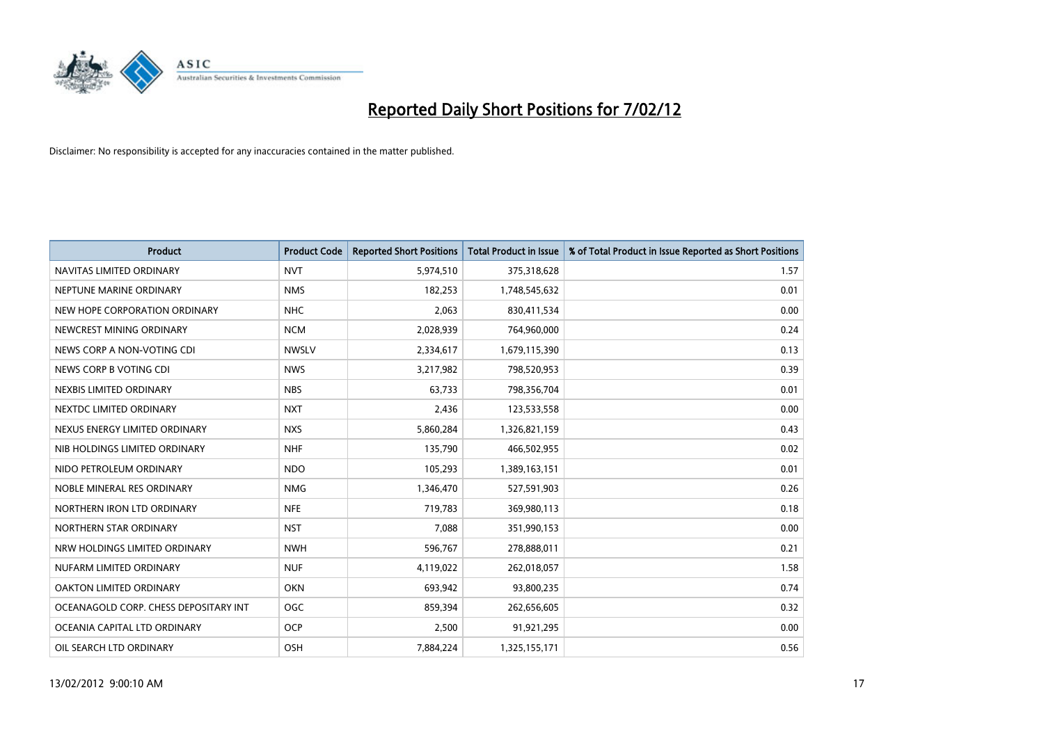

| <b>Product</b>                        | <b>Product Code</b> | <b>Reported Short Positions</b> | <b>Total Product in Issue</b> | % of Total Product in Issue Reported as Short Positions |
|---------------------------------------|---------------------|---------------------------------|-------------------------------|---------------------------------------------------------|
| NAVITAS LIMITED ORDINARY              | <b>NVT</b>          | 5,974,510                       | 375,318,628                   | 1.57                                                    |
| NEPTUNE MARINE ORDINARY               | <b>NMS</b>          | 182,253                         | 1,748,545,632                 | 0.01                                                    |
| NEW HOPE CORPORATION ORDINARY         | <b>NHC</b>          | 2,063                           | 830,411,534                   | 0.00                                                    |
| NEWCREST MINING ORDINARY              | <b>NCM</b>          | 2,028,939                       | 764,960,000                   | 0.24                                                    |
| NEWS CORP A NON-VOTING CDI            | <b>NWSLV</b>        | 2,334,617                       | 1,679,115,390                 | 0.13                                                    |
| NEWS CORP B VOTING CDI                | <b>NWS</b>          | 3,217,982                       | 798,520,953                   | 0.39                                                    |
| NEXBIS LIMITED ORDINARY               | <b>NBS</b>          | 63,733                          | 798,356,704                   | 0.01                                                    |
| NEXTDC LIMITED ORDINARY               | <b>NXT</b>          | 2,436                           | 123,533,558                   | 0.00                                                    |
| NEXUS ENERGY LIMITED ORDINARY         | <b>NXS</b>          | 5,860,284                       | 1,326,821,159                 | 0.43                                                    |
| NIB HOLDINGS LIMITED ORDINARY         | <b>NHF</b>          | 135,790                         | 466,502,955                   | 0.02                                                    |
| NIDO PETROLEUM ORDINARY               | <b>NDO</b>          | 105,293                         | 1,389,163,151                 | 0.01                                                    |
| NOBLE MINERAL RES ORDINARY            | <b>NMG</b>          | 1,346,470                       | 527,591,903                   | 0.26                                                    |
| NORTHERN IRON LTD ORDINARY            | <b>NFE</b>          | 719,783                         | 369,980,113                   | 0.18                                                    |
| NORTHERN STAR ORDINARY                | <b>NST</b>          | 7,088                           | 351,990,153                   | 0.00                                                    |
| NRW HOLDINGS LIMITED ORDINARY         | <b>NWH</b>          | 596,767                         | 278,888,011                   | 0.21                                                    |
| NUFARM LIMITED ORDINARY               | <b>NUF</b>          | 4,119,022                       | 262,018,057                   | 1.58                                                    |
| OAKTON LIMITED ORDINARY               | <b>OKN</b>          | 693,942                         | 93,800,235                    | 0.74                                                    |
| OCEANAGOLD CORP. CHESS DEPOSITARY INT | <b>OGC</b>          | 859,394                         | 262,656,605                   | 0.32                                                    |
| OCEANIA CAPITAL LTD ORDINARY          | <b>OCP</b>          | 2,500                           | 91,921,295                    | 0.00                                                    |
| OIL SEARCH LTD ORDINARY               | OSH                 | 7,884,224                       | 1,325,155,171                 | 0.56                                                    |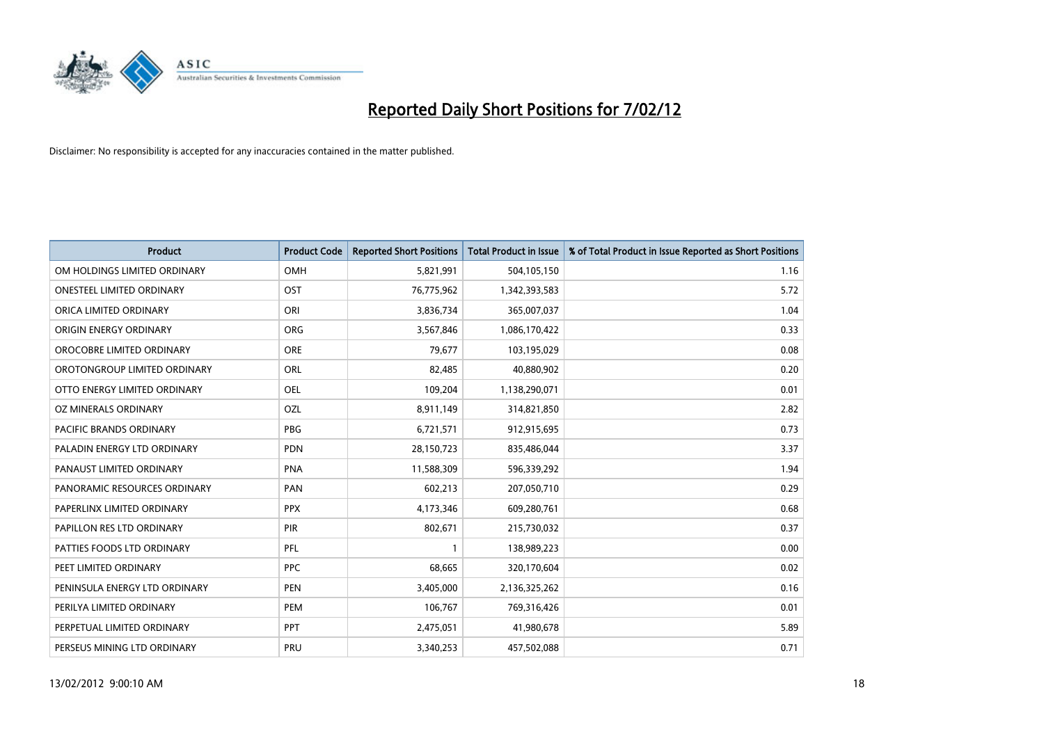

| <b>Product</b>                 | <b>Product Code</b> | <b>Reported Short Positions</b> | <b>Total Product in Issue</b> | % of Total Product in Issue Reported as Short Positions |
|--------------------------------|---------------------|---------------------------------|-------------------------------|---------------------------------------------------------|
| OM HOLDINGS LIMITED ORDINARY   | <b>OMH</b>          | 5,821,991                       | 504,105,150                   | 1.16                                                    |
| ONESTEEL LIMITED ORDINARY      | OST                 | 76,775,962                      | 1,342,393,583                 | 5.72                                                    |
| ORICA LIMITED ORDINARY         | ORI                 | 3,836,734                       | 365,007,037                   | 1.04                                                    |
| ORIGIN ENERGY ORDINARY         | <b>ORG</b>          | 3,567,846                       | 1,086,170,422                 | 0.33                                                    |
| OROCOBRE LIMITED ORDINARY      | <b>ORE</b>          | 79,677                          | 103,195,029                   | 0.08                                                    |
| OROTONGROUP LIMITED ORDINARY   | ORL                 | 82,485                          | 40,880,902                    | 0.20                                                    |
| OTTO ENERGY LIMITED ORDINARY   | <b>OEL</b>          | 109,204                         | 1,138,290,071                 | 0.01                                                    |
| OZ MINERALS ORDINARY           | OZL                 | 8,911,149                       | 314,821,850                   | 2.82                                                    |
| <b>PACIFIC BRANDS ORDINARY</b> | <b>PBG</b>          | 6,721,571                       | 912,915,695                   | 0.73                                                    |
| PALADIN ENERGY LTD ORDINARY    | <b>PDN</b>          | 28,150,723                      | 835,486,044                   | 3.37                                                    |
| PANAUST LIMITED ORDINARY       | <b>PNA</b>          | 11,588,309                      | 596,339,292                   | 1.94                                                    |
| PANORAMIC RESOURCES ORDINARY   | PAN                 | 602,213                         | 207,050,710                   | 0.29                                                    |
| PAPERLINX LIMITED ORDINARY     | <b>PPX</b>          | 4,173,346                       | 609,280,761                   | 0.68                                                    |
| PAPILLON RES LTD ORDINARY      | PIR                 | 802,671                         | 215,730,032                   | 0.37                                                    |
| PATTIES FOODS LTD ORDINARY     | PFL                 | $\mathbf{1}$                    | 138,989,223                   | 0.00                                                    |
| PEET LIMITED ORDINARY          | <b>PPC</b>          | 68,665                          | 320,170,604                   | 0.02                                                    |
| PENINSULA ENERGY LTD ORDINARY  | PEN                 | 3,405,000                       | 2,136,325,262                 | 0.16                                                    |
| PERILYA LIMITED ORDINARY       | <b>PEM</b>          | 106,767                         | 769,316,426                   | 0.01                                                    |
| PERPETUAL LIMITED ORDINARY     | PPT                 | 2,475,051                       | 41,980,678                    | 5.89                                                    |
| PERSEUS MINING LTD ORDINARY    | PRU                 | 3,340,253                       | 457,502,088                   | 0.71                                                    |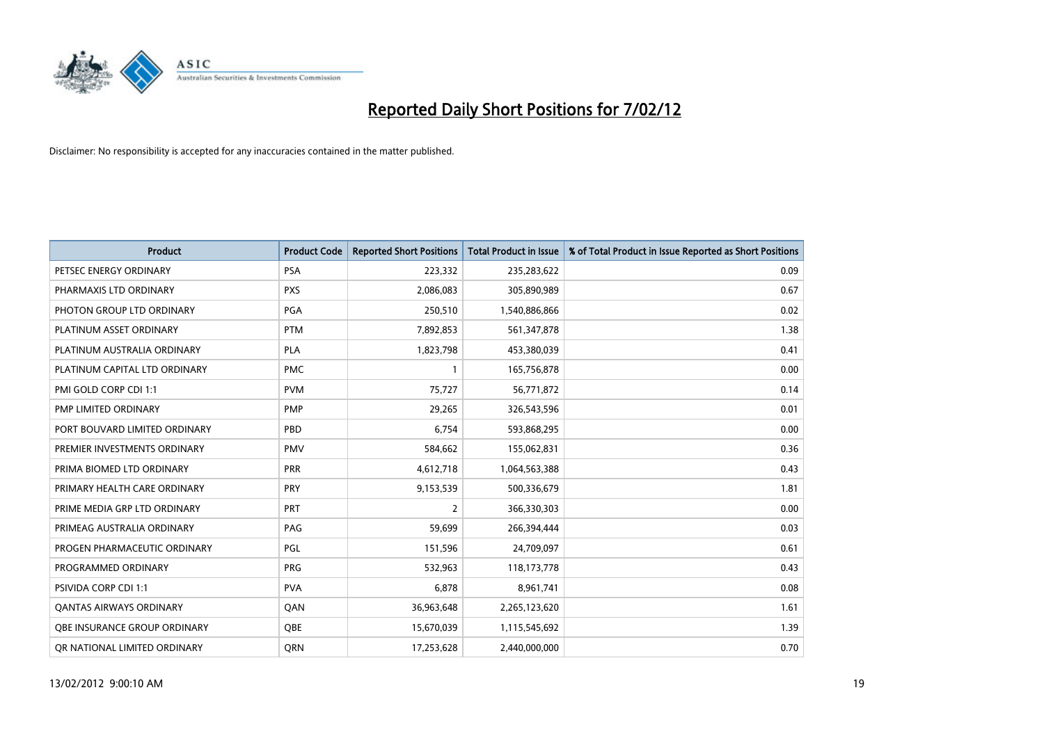

| <b>Product</b>                 | <b>Product Code</b> | <b>Reported Short Positions</b> | <b>Total Product in Issue</b> | % of Total Product in Issue Reported as Short Positions |
|--------------------------------|---------------------|---------------------------------|-------------------------------|---------------------------------------------------------|
| PETSEC ENERGY ORDINARY         | <b>PSA</b>          | 223,332                         | 235,283,622                   | 0.09                                                    |
| PHARMAXIS LTD ORDINARY         | <b>PXS</b>          | 2,086,083                       | 305,890,989                   | 0.67                                                    |
| PHOTON GROUP LTD ORDINARY      | PGA                 | 250,510                         | 1,540,886,866                 | 0.02                                                    |
| PLATINUM ASSET ORDINARY        | <b>PTM</b>          | 7,892,853                       | 561,347,878                   | 1.38                                                    |
| PLATINUM AUSTRALIA ORDINARY    | <b>PLA</b>          | 1,823,798                       | 453,380,039                   | 0.41                                                    |
| PLATINUM CAPITAL LTD ORDINARY  | <b>PMC</b>          | $\mathbf{1}$                    | 165,756,878                   | 0.00                                                    |
| PMI GOLD CORP CDI 1:1          | <b>PVM</b>          | 75,727                          | 56,771,872                    | 0.14                                                    |
| PMP LIMITED ORDINARY           | <b>PMP</b>          | 29,265                          | 326,543,596                   | 0.01                                                    |
| PORT BOUVARD LIMITED ORDINARY  | PBD                 | 6,754                           | 593,868,295                   | 0.00                                                    |
| PREMIER INVESTMENTS ORDINARY   | <b>PMV</b>          | 584,662                         | 155,062,831                   | 0.36                                                    |
| PRIMA BIOMED LTD ORDINARY      | <b>PRR</b>          | 4,612,718                       | 1,064,563,388                 | 0.43                                                    |
| PRIMARY HEALTH CARE ORDINARY   | <b>PRY</b>          | 9,153,539                       | 500,336,679                   | 1.81                                                    |
| PRIME MEDIA GRP LTD ORDINARY   | <b>PRT</b>          | $\overline{2}$                  | 366,330,303                   | 0.00                                                    |
| PRIMEAG AUSTRALIA ORDINARY     | PAG                 | 59,699                          | 266,394,444                   | 0.03                                                    |
| PROGEN PHARMACEUTIC ORDINARY   | PGL                 | 151,596                         | 24,709,097                    | 0.61                                                    |
| PROGRAMMED ORDINARY            | <b>PRG</b>          | 532,963                         | 118,173,778                   | 0.43                                                    |
| PSIVIDA CORP CDI 1:1           | <b>PVA</b>          | 6,878                           | 8,961,741                     | 0.08                                                    |
| <b>QANTAS AIRWAYS ORDINARY</b> | QAN                 | 36,963,648                      | 2,265,123,620                 | 1.61                                                    |
| OBE INSURANCE GROUP ORDINARY   | <b>OBE</b>          | 15,670,039                      | 1,115,545,692                 | 1.39                                                    |
| OR NATIONAL LIMITED ORDINARY   | <b>ORN</b>          | 17,253,628                      | 2,440,000,000                 | 0.70                                                    |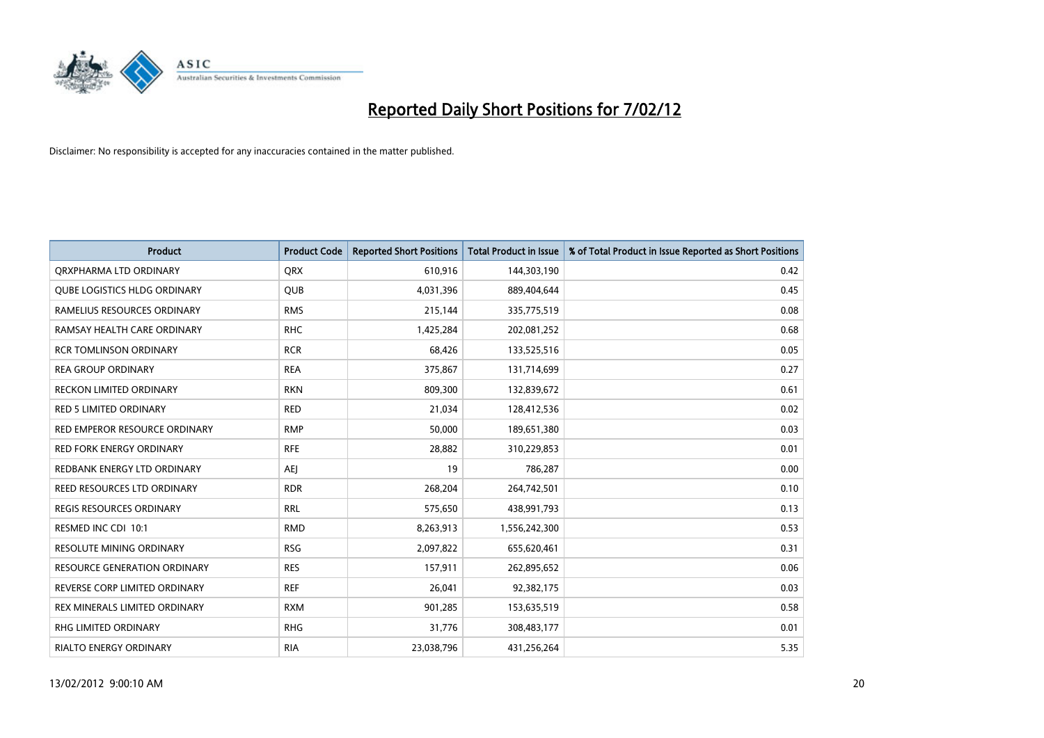

| <b>Product</b>                      | <b>Product Code</b> | <b>Reported Short Positions</b> | <b>Total Product in Issue</b> | % of Total Product in Issue Reported as Short Positions |
|-------------------------------------|---------------------|---------------------------------|-------------------------------|---------------------------------------------------------|
| ORXPHARMA LTD ORDINARY              | <b>ORX</b>          | 610,916                         | 144,303,190                   | 0.42                                                    |
| QUBE LOGISTICS HLDG ORDINARY        | QUB                 | 4,031,396                       | 889,404,644                   | 0.45                                                    |
| RAMELIUS RESOURCES ORDINARY         | <b>RMS</b>          | 215,144                         | 335,775,519                   | 0.08                                                    |
| RAMSAY HEALTH CARE ORDINARY         | <b>RHC</b>          | 1,425,284                       | 202,081,252                   | 0.68                                                    |
| <b>RCR TOMLINSON ORDINARY</b>       | <b>RCR</b>          | 68,426                          | 133,525,516                   | 0.05                                                    |
| <b>REA GROUP ORDINARY</b>           | <b>REA</b>          | 375,867                         | 131,714,699                   | 0.27                                                    |
| <b>RECKON LIMITED ORDINARY</b>      | <b>RKN</b>          | 809,300                         | 132,839,672                   | 0.61                                                    |
| RED 5 LIMITED ORDINARY              | <b>RED</b>          | 21,034                          | 128,412,536                   | 0.02                                                    |
| RED EMPEROR RESOURCE ORDINARY       | <b>RMP</b>          | 50,000                          | 189,651,380                   | 0.03                                                    |
| <b>RED FORK ENERGY ORDINARY</b>     | <b>RFE</b>          | 28,882                          | 310,229,853                   | 0.01                                                    |
| REDBANK ENERGY LTD ORDINARY         | AEJ                 | 19                              | 786,287                       | 0.00                                                    |
| REED RESOURCES LTD ORDINARY         | <b>RDR</b>          | 268,204                         | 264,742,501                   | 0.10                                                    |
| REGIS RESOURCES ORDINARY            | <b>RRL</b>          | 575,650                         | 438,991,793                   | 0.13                                                    |
| RESMED INC CDI 10:1                 | <b>RMD</b>          | 8,263,913                       | 1,556,242,300                 | 0.53                                                    |
| <b>RESOLUTE MINING ORDINARY</b>     | <b>RSG</b>          | 2,097,822                       | 655,620,461                   | 0.31                                                    |
| <b>RESOURCE GENERATION ORDINARY</b> | <b>RES</b>          | 157,911                         | 262,895,652                   | 0.06                                                    |
| REVERSE CORP LIMITED ORDINARY       | <b>REF</b>          | 26,041                          | 92,382,175                    | 0.03                                                    |
| REX MINERALS LIMITED ORDINARY       | <b>RXM</b>          | 901,285                         | 153,635,519                   | 0.58                                                    |
| RHG LIMITED ORDINARY                | <b>RHG</b>          | 31,776                          | 308,483,177                   | 0.01                                                    |
| <b>RIALTO ENERGY ORDINARY</b>       | <b>RIA</b>          | 23,038,796                      | 431,256,264                   | 5.35                                                    |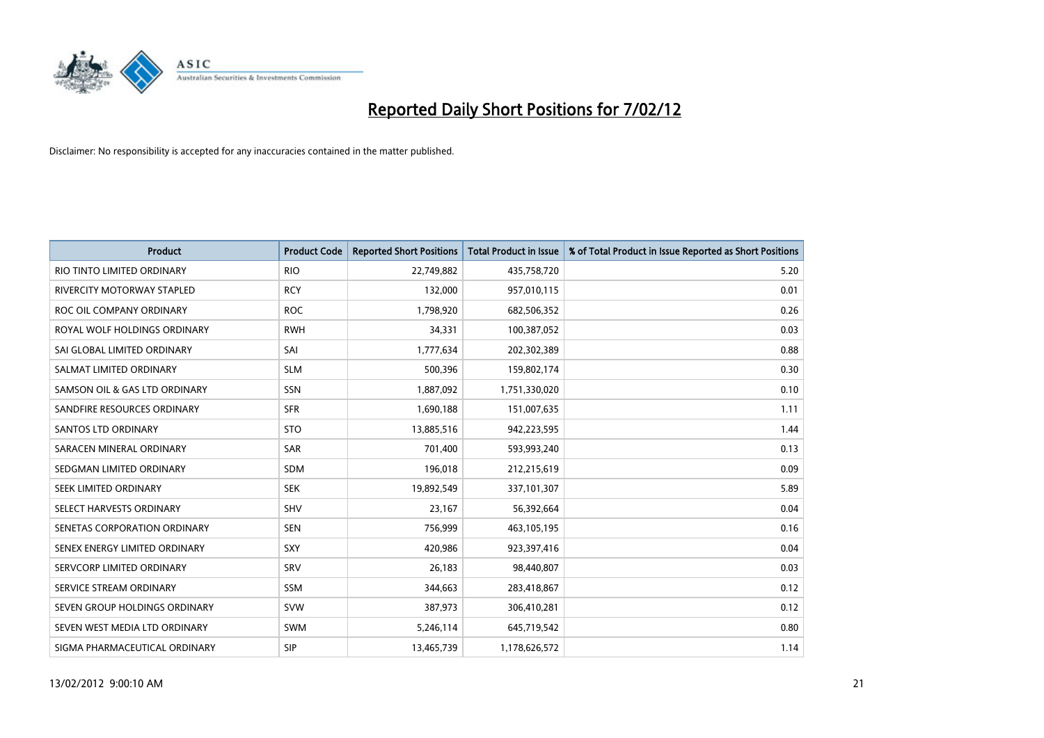

| <b>Product</b>                | <b>Product Code</b> | <b>Reported Short Positions</b> | <b>Total Product in Issue</b> | % of Total Product in Issue Reported as Short Positions |
|-------------------------------|---------------------|---------------------------------|-------------------------------|---------------------------------------------------------|
| RIO TINTO LIMITED ORDINARY    | <b>RIO</b>          | 22,749,882                      | 435,758,720                   | 5.20                                                    |
| RIVERCITY MOTORWAY STAPLED    | <b>RCY</b>          | 132,000                         | 957,010,115                   | 0.01                                                    |
| ROC OIL COMPANY ORDINARY      | <b>ROC</b>          | 1,798,920                       | 682,506,352                   | 0.26                                                    |
| ROYAL WOLF HOLDINGS ORDINARY  | <b>RWH</b>          | 34,331                          | 100,387,052                   | 0.03                                                    |
| SAI GLOBAL LIMITED ORDINARY   | SAI                 | 1,777,634                       | 202,302,389                   | 0.88                                                    |
| SALMAT LIMITED ORDINARY       | <b>SLM</b>          | 500,396                         | 159,802,174                   | 0.30                                                    |
| SAMSON OIL & GAS LTD ORDINARY | SSN                 | 1,887,092                       | 1,751,330,020                 | 0.10                                                    |
| SANDFIRE RESOURCES ORDINARY   | <b>SFR</b>          | 1,690,188                       | 151,007,635                   | 1.11                                                    |
| SANTOS LTD ORDINARY           | <b>STO</b>          | 13,885,516                      | 942,223,595                   | 1.44                                                    |
| SARACEN MINERAL ORDINARY      | <b>SAR</b>          | 701,400                         | 593,993,240                   | 0.13                                                    |
| SEDGMAN LIMITED ORDINARY      | <b>SDM</b>          | 196,018                         | 212,215,619                   | 0.09                                                    |
| <b>SEEK LIMITED ORDINARY</b>  | <b>SEK</b>          | 19,892,549                      | 337,101,307                   | 5.89                                                    |
| SELECT HARVESTS ORDINARY      | <b>SHV</b>          | 23,167                          | 56,392,664                    | 0.04                                                    |
| SENETAS CORPORATION ORDINARY  | <b>SEN</b>          | 756,999                         | 463,105,195                   | 0.16                                                    |
| SENEX ENERGY LIMITED ORDINARY | <b>SXY</b>          | 420,986                         | 923,397,416                   | 0.04                                                    |
| SERVCORP LIMITED ORDINARY     | SRV                 | 26,183                          | 98,440,807                    | 0.03                                                    |
| SERVICE STREAM ORDINARY       | SSM                 | 344,663                         | 283,418,867                   | 0.12                                                    |
| SEVEN GROUP HOLDINGS ORDINARY | <b>SVW</b>          | 387,973                         | 306,410,281                   | 0.12                                                    |
| SEVEN WEST MEDIA LTD ORDINARY | <b>SWM</b>          | 5,246,114                       | 645,719,542                   | 0.80                                                    |
| SIGMA PHARMACEUTICAL ORDINARY | <b>SIP</b>          | 13,465,739                      | 1,178,626,572                 | 1.14                                                    |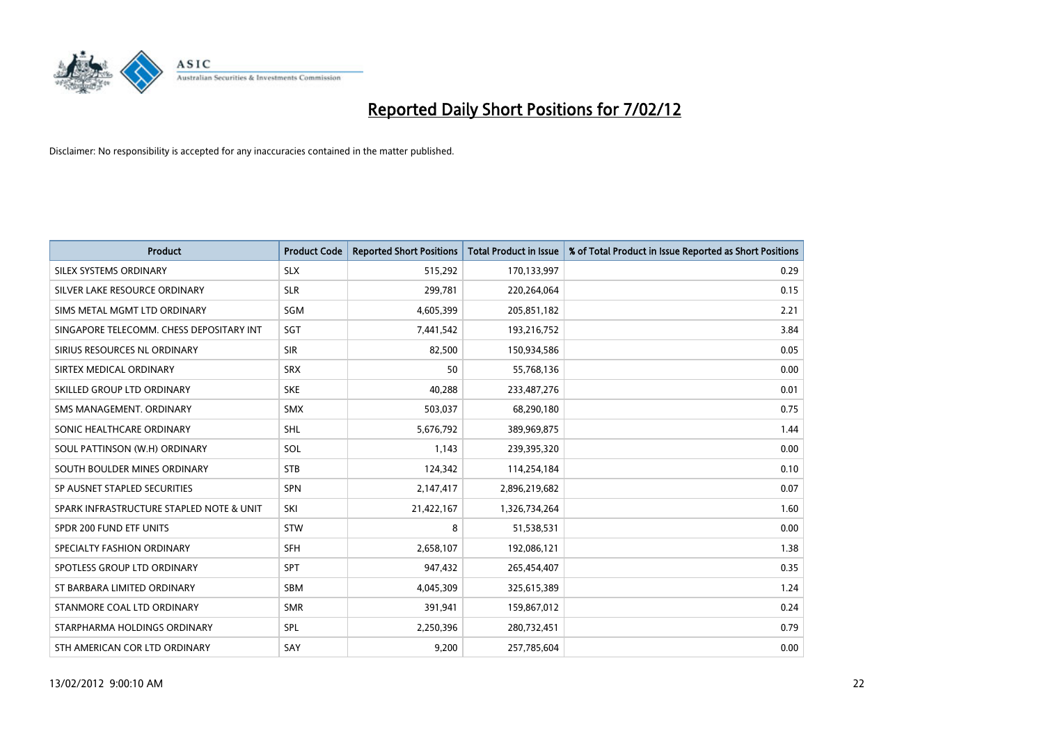

| <b>Product</b>                           | <b>Product Code</b> | <b>Reported Short Positions</b> | <b>Total Product in Issue</b> | % of Total Product in Issue Reported as Short Positions |
|------------------------------------------|---------------------|---------------------------------|-------------------------------|---------------------------------------------------------|
| SILEX SYSTEMS ORDINARY                   | <b>SLX</b>          | 515,292                         | 170,133,997                   | 0.29                                                    |
| SILVER LAKE RESOURCE ORDINARY            | <b>SLR</b>          | 299,781                         | 220,264,064                   | 0.15                                                    |
| SIMS METAL MGMT LTD ORDINARY             | SGM                 | 4,605,399                       | 205,851,182                   | 2.21                                                    |
| SINGAPORE TELECOMM. CHESS DEPOSITARY INT | SGT                 | 7,441,542                       | 193,216,752                   | 3.84                                                    |
| SIRIUS RESOURCES NL ORDINARY             | <b>SIR</b>          | 82,500                          | 150,934,586                   | 0.05                                                    |
| SIRTEX MEDICAL ORDINARY                  | <b>SRX</b>          | 50                              | 55,768,136                    | 0.00                                                    |
| SKILLED GROUP LTD ORDINARY               | <b>SKE</b>          | 40,288                          | 233,487,276                   | 0.01                                                    |
| SMS MANAGEMENT. ORDINARY                 | <b>SMX</b>          | 503,037                         | 68,290,180                    | 0.75                                                    |
| SONIC HEALTHCARE ORDINARY                | <b>SHL</b>          | 5,676,792                       | 389,969,875                   | 1.44                                                    |
| SOUL PATTINSON (W.H) ORDINARY            | SOL                 | 1,143                           | 239,395,320                   | 0.00                                                    |
| SOUTH BOULDER MINES ORDINARY             | <b>STB</b>          | 124,342                         | 114,254,184                   | 0.10                                                    |
| SP AUSNET STAPLED SECURITIES             | SPN                 | 2,147,417                       | 2,896,219,682                 | 0.07                                                    |
| SPARK INFRASTRUCTURE STAPLED NOTE & UNIT | SKI                 | 21,422,167                      | 1,326,734,264                 | 1.60                                                    |
| SPDR 200 FUND ETF UNITS                  | <b>STW</b>          | 8                               | 51,538,531                    | 0.00                                                    |
| SPECIALTY FASHION ORDINARY               | <b>SFH</b>          | 2,658,107                       | 192,086,121                   | 1.38                                                    |
| SPOTLESS GROUP LTD ORDINARY              | SPT                 | 947,432                         | 265,454,407                   | 0.35                                                    |
| ST BARBARA LIMITED ORDINARY              | SBM                 | 4,045,309                       | 325,615,389                   | 1.24                                                    |
| STANMORE COAL LTD ORDINARY               | <b>SMR</b>          | 391,941                         | 159,867,012                   | 0.24                                                    |
| STARPHARMA HOLDINGS ORDINARY             | <b>SPL</b>          | 2,250,396                       | 280,732,451                   | 0.79                                                    |
| STH AMERICAN COR LTD ORDINARY            | SAY                 | 9,200                           | 257,785,604                   | 0.00                                                    |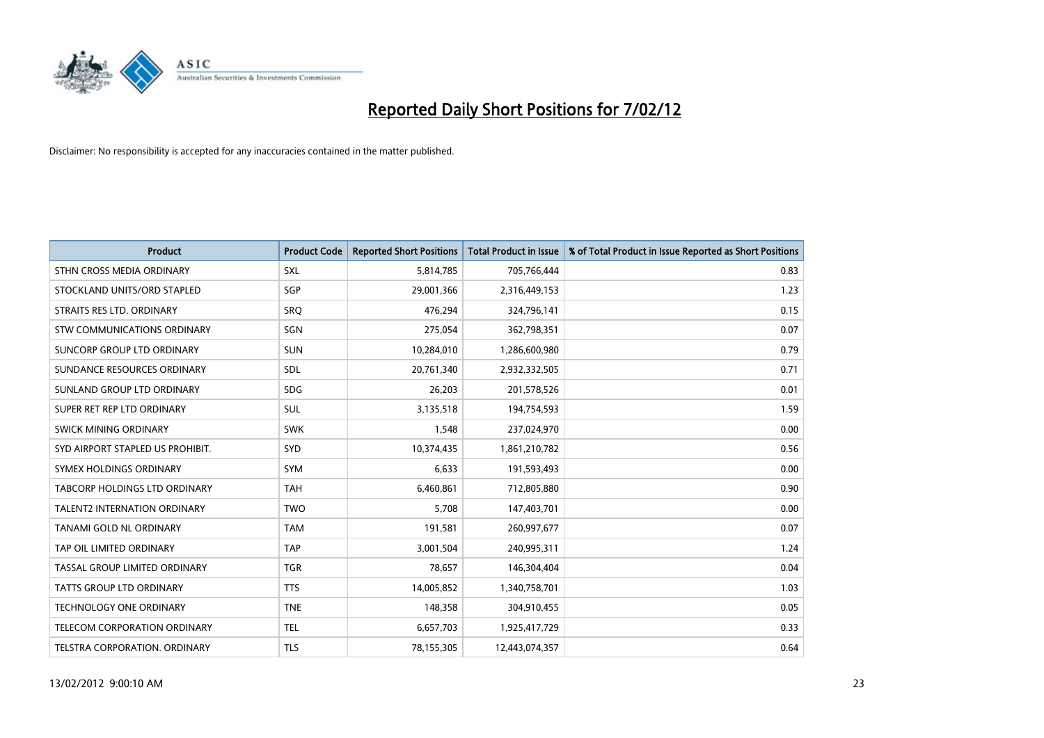

| <b>Product</b>                       | <b>Product Code</b> | <b>Reported Short Positions</b> | <b>Total Product in Issue</b> | % of Total Product in Issue Reported as Short Positions |
|--------------------------------------|---------------------|---------------------------------|-------------------------------|---------------------------------------------------------|
| STHN CROSS MEDIA ORDINARY            | <b>SXL</b>          | 5,814,785                       | 705,766,444                   | 0.83                                                    |
| STOCKLAND UNITS/ORD STAPLED          | SGP                 | 29,001,366                      | 2,316,449,153                 | 1.23                                                    |
| STRAITS RES LTD. ORDINARY            | SRO                 | 476,294                         | 324,796,141                   | 0.15                                                    |
| STW COMMUNICATIONS ORDINARY          | SGN                 | 275,054                         | 362,798,351                   | 0.07                                                    |
| SUNCORP GROUP LTD ORDINARY           | <b>SUN</b>          | 10,284,010                      | 1,286,600,980                 | 0.79                                                    |
| SUNDANCE RESOURCES ORDINARY          | SDL                 | 20,761,340                      | 2,932,332,505                 | 0.71                                                    |
| SUNLAND GROUP LTD ORDINARY           | <b>SDG</b>          | 26,203                          | 201,578,526                   | 0.01                                                    |
| SUPER RET REP LTD ORDINARY           | SUL                 | 3,135,518                       | 194,754,593                   | 1.59                                                    |
| SWICK MINING ORDINARY                | <b>SWK</b>          | 1,548                           | 237,024,970                   | 0.00                                                    |
| SYD AIRPORT STAPLED US PROHIBIT.     | <b>SYD</b>          | 10,374,435                      | 1,861,210,782                 | 0.56                                                    |
| SYMEX HOLDINGS ORDINARY              | <b>SYM</b>          | 6,633                           | 191,593,493                   | 0.00                                                    |
| <b>TABCORP HOLDINGS LTD ORDINARY</b> | <b>TAH</b>          | 6,460,861                       | 712,805,880                   | 0.90                                                    |
| <b>TALENT2 INTERNATION ORDINARY</b>  | <b>TWO</b>          | 5,708                           | 147,403,701                   | 0.00                                                    |
| TANAMI GOLD NL ORDINARY              | <b>TAM</b>          | 191,581                         | 260,997,677                   | 0.07                                                    |
| TAP OIL LIMITED ORDINARY             | <b>TAP</b>          | 3,001,504                       | 240,995,311                   | 1.24                                                    |
| TASSAL GROUP LIMITED ORDINARY        | <b>TGR</b>          | 78,657                          | 146,304,404                   | 0.04                                                    |
| <b>TATTS GROUP LTD ORDINARY</b>      | <b>TTS</b>          | 14,005,852                      | 1,340,758,701                 | 1.03                                                    |
| <b>TECHNOLOGY ONE ORDINARY</b>       | <b>TNE</b>          | 148,358                         | 304,910,455                   | 0.05                                                    |
| TELECOM CORPORATION ORDINARY         | <b>TEL</b>          | 6,657,703                       | 1,925,417,729                 | 0.33                                                    |
| TELSTRA CORPORATION, ORDINARY        | <b>TLS</b>          | 78,155,305                      | 12,443,074,357                | 0.64                                                    |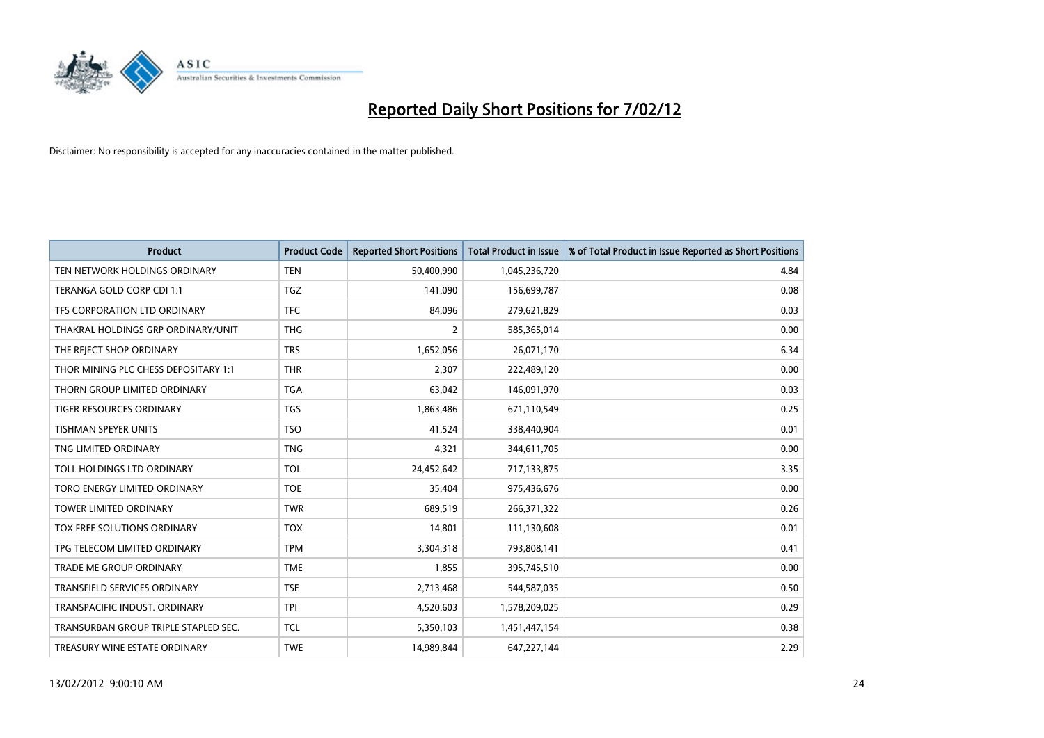

| <b>Product</b>                       | <b>Product Code</b> | <b>Reported Short Positions</b> | <b>Total Product in Issue</b> | % of Total Product in Issue Reported as Short Positions |
|--------------------------------------|---------------------|---------------------------------|-------------------------------|---------------------------------------------------------|
| TEN NETWORK HOLDINGS ORDINARY        | <b>TEN</b>          | 50,400,990                      | 1,045,236,720                 | 4.84                                                    |
| TERANGA GOLD CORP CDI 1:1            | <b>TGZ</b>          | 141,090                         | 156,699,787                   | 0.08                                                    |
| TFS CORPORATION LTD ORDINARY         | <b>TFC</b>          | 84,096                          | 279,621,829                   | 0.03                                                    |
| THAKRAL HOLDINGS GRP ORDINARY/UNIT   | <b>THG</b>          | $\overline{2}$                  | 585,365,014                   | 0.00                                                    |
| THE REJECT SHOP ORDINARY             | <b>TRS</b>          | 1,652,056                       | 26,071,170                    | 6.34                                                    |
| THOR MINING PLC CHESS DEPOSITARY 1:1 | <b>THR</b>          | 2,307                           | 222,489,120                   | 0.00                                                    |
| THORN GROUP LIMITED ORDINARY         | <b>TGA</b>          | 63,042                          | 146,091,970                   | 0.03                                                    |
| TIGER RESOURCES ORDINARY             | <b>TGS</b>          | 1,863,486                       | 671,110,549                   | 0.25                                                    |
| <b>TISHMAN SPEYER UNITS</b>          | <b>TSO</b>          | 41,524                          | 338,440,904                   | 0.01                                                    |
| TNG LIMITED ORDINARY                 | <b>TNG</b>          | 4,321                           | 344,611,705                   | 0.00                                                    |
| TOLL HOLDINGS LTD ORDINARY           | <b>TOL</b>          | 24,452,642                      | 717,133,875                   | 3.35                                                    |
| TORO ENERGY LIMITED ORDINARY         | <b>TOE</b>          | 35,404                          | 975,436,676                   | 0.00                                                    |
| TOWER LIMITED ORDINARY               | <b>TWR</b>          | 689,519                         | 266,371,322                   | 0.26                                                    |
| TOX FREE SOLUTIONS ORDINARY          | <b>TOX</b>          | 14,801                          | 111,130,608                   | 0.01                                                    |
| TPG TELECOM LIMITED ORDINARY         | <b>TPM</b>          | 3,304,318                       | 793,808,141                   | 0.41                                                    |
| <b>TRADE ME GROUP ORDINARY</b>       | <b>TME</b>          | 1,855                           | 395,745,510                   | 0.00                                                    |
| <b>TRANSFIELD SERVICES ORDINARY</b>  | <b>TSE</b>          | 2,713,468                       | 544,587,035                   | 0.50                                                    |
| TRANSPACIFIC INDUST, ORDINARY        | <b>TPI</b>          | 4,520,603                       | 1,578,209,025                 | 0.29                                                    |
| TRANSURBAN GROUP TRIPLE STAPLED SEC. | <b>TCL</b>          | 5,350,103                       | 1,451,447,154                 | 0.38                                                    |
| TREASURY WINE ESTATE ORDINARY        | <b>TWE</b>          | 14,989,844                      | 647,227,144                   | 2.29                                                    |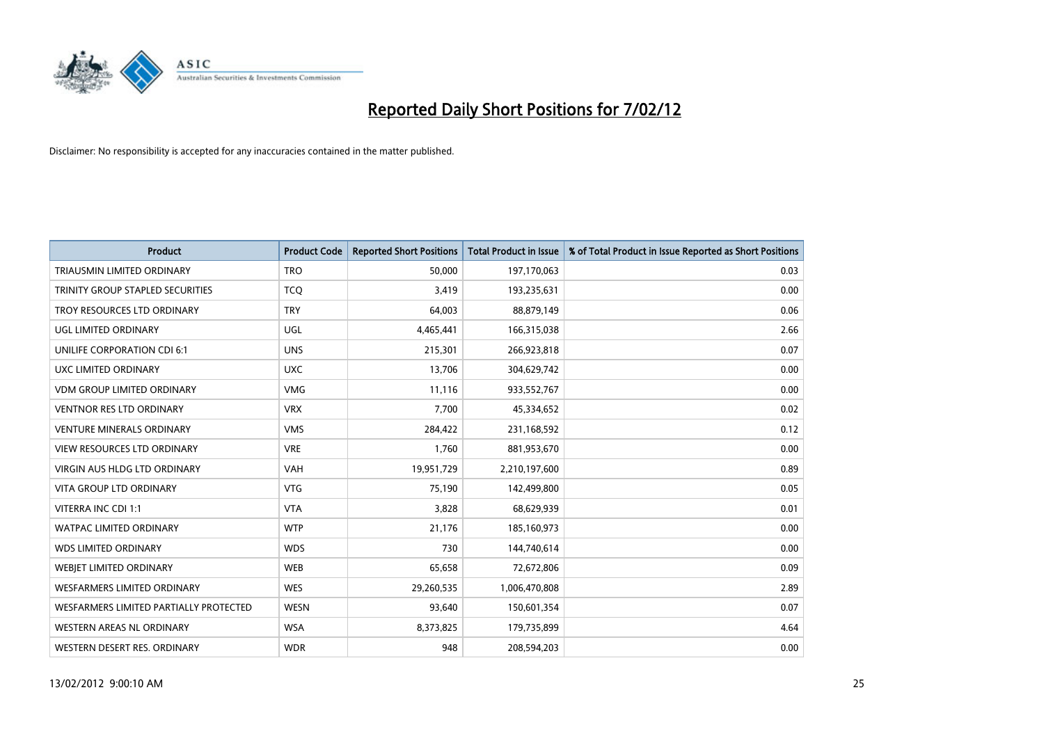

| <b>Product</b>                         | <b>Product Code</b> | <b>Reported Short Positions</b> | <b>Total Product in Issue</b> | % of Total Product in Issue Reported as Short Positions |
|----------------------------------------|---------------------|---------------------------------|-------------------------------|---------------------------------------------------------|
| TRIAUSMIN LIMITED ORDINARY             | <b>TRO</b>          | 50,000                          | 197,170,063                   | 0.03                                                    |
| TRINITY GROUP STAPLED SECURITIES       | <b>TCO</b>          | 3,419                           | 193,235,631                   | 0.00                                                    |
| TROY RESOURCES LTD ORDINARY            | <b>TRY</b>          | 64,003                          | 88,879,149                    | 0.06                                                    |
| UGL LIMITED ORDINARY                   | UGL                 | 4,465,441                       | 166,315,038                   | 2.66                                                    |
| UNILIFE CORPORATION CDI 6:1            | <b>UNS</b>          | 215,301                         | 266,923,818                   | 0.07                                                    |
| <b>UXC LIMITED ORDINARY</b>            | <b>UXC</b>          | 13,706                          | 304,629,742                   | 0.00                                                    |
| <b>VDM GROUP LIMITED ORDINARY</b>      | <b>VMG</b>          | 11,116                          | 933,552,767                   | 0.00                                                    |
| <b>VENTNOR RES LTD ORDINARY</b>        | <b>VRX</b>          | 7,700                           | 45,334,652                    | 0.02                                                    |
| <b>VENTURE MINERALS ORDINARY</b>       | <b>VMS</b>          | 284,422                         | 231,168,592                   | 0.12                                                    |
| <b>VIEW RESOURCES LTD ORDINARY</b>     | <b>VRE</b>          | 1,760                           | 881,953,670                   | 0.00                                                    |
| VIRGIN AUS HLDG LTD ORDINARY           | <b>VAH</b>          | 19,951,729                      | 2,210,197,600                 | 0.89                                                    |
| VITA GROUP LTD ORDINARY                | <b>VTG</b>          | 75,190                          | 142,499,800                   | 0.05                                                    |
| VITERRA INC CDI 1:1                    | <b>VTA</b>          | 3,828                           | 68,629,939                    | 0.01                                                    |
| <b>WATPAC LIMITED ORDINARY</b>         | <b>WTP</b>          | 21,176                          | 185,160,973                   | 0.00                                                    |
| <b>WDS LIMITED ORDINARY</b>            | <b>WDS</b>          | 730                             | 144,740,614                   | 0.00                                                    |
| WEBJET LIMITED ORDINARY                | <b>WEB</b>          | 65,658                          | 72,672,806                    | 0.09                                                    |
| <b>WESFARMERS LIMITED ORDINARY</b>     | <b>WES</b>          | 29,260,535                      | 1,006,470,808                 | 2.89                                                    |
| WESFARMERS LIMITED PARTIALLY PROTECTED | <b>WESN</b>         | 93,640                          | 150,601,354                   | 0.07                                                    |
| WESTERN AREAS NL ORDINARY              | <b>WSA</b>          | 8,373,825                       | 179,735,899                   | 4.64                                                    |
| WESTERN DESERT RES. ORDINARY           | <b>WDR</b>          | 948                             | 208,594,203                   | 0.00                                                    |